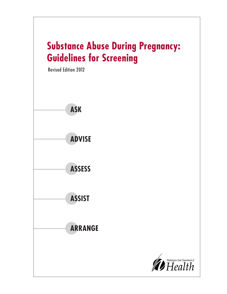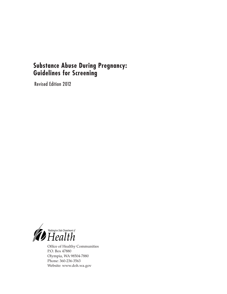# **Substance Abuse During Pregnancy: Guidelines for Screening**

Revised Edition 2012



Office of Healthy Communities P.O. Box 47880 Olympia, WA 98504-7880 Phone: 360-236-3563 Website: www.doh.wa.gov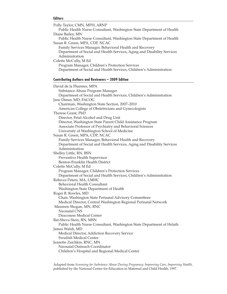#### **Editors**

| Polly Taylor, CMN, MPH, ARNP<br>Public Health Nurse Consultant, Washington State Department of Health |  |
|-------------------------------------------------------------------------------------------------------|--|
| Diane Bailey, MN<br>Public Health Nurse Consultant, Washington State Department of Health             |  |
| Susan R. Green, MPA, CDP, NCAC                                                                        |  |
| Family Services Manager, Behavioral Health and Recovery                                               |  |
| Department of Social and Health Services, Aging and Disability Services                               |  |
| Administration                                                                                        |  |
| Colette McCully, M Ed                                                                                 |  |
| Program Manager, Children's Protection Services                                                       |  |
| Department of Social and Health Services, Children's Administration                                   |  |
| <b>Contributing Authors and Reviewers - 2009 Edition</b>                                              |  |
| David de la Fluentes, MPA                                                                             |  |
| Substance Abuse Program Manager                                                                       |  |
| Department of Social and Health Services, Children's Administration                                   |  |
| Jane Dimer, MD, FACOG                                                                                 |  |
| Chairman, Washington State Section, 2007-2010                                                         |  |
| American College of Obstetricians and Gynecologists                                                   |  |
| Therese Grant, PhD                                                                                    |  |
| Director, Fetal Alcohol and Drug Unit                                                                 |  |
| Director, Washington State Parent Child Assistance Program                                            |  |
| Associate Professor of Psychiatry and Behavioral Sciences                                             |  |
| University of Washington School of Medicine                                                           |  |
| Susan R. Green, MPA, CDP, NCAC                                                                        |  |
| Family Services Manager, Behavioral Health and Recovery                                               |  |
| Department of Social and Health Services, Aging and Disability Services                               |  |
| Administration                                                                                        |  |
| Shelley Little, RN, BSN                                                                               |  |
| Preventive Health Supervisor                                                                          |  |
| Benton-Franklin Health District                                                                       |  |
| Colette McCully, M Ed                                                                                 |  |
| Program Manager, Children's Protection Services                                                       |  |
| Department of Social and Health Services, Children's Administration                                   |  |
| Rebecca Peters, MA, LMHC                                                                              |  |
| Behavioral Health Consultant                                                                          |  |
| Washington State Department of Health                                                                 |  |
| Roger B. Rowles, MD                                                                                   |  |
| Chair, Washington State Perinatal Advisory Committeee                                                 |  |
| Medical Director, Central Washington Regional Perinatal Network                                       |  |
| Maureen Shogan, MN, RNC                                                                               |  |
| <b>Neonatal CNS</b>                                                                                   |  |
| Deaconess Medical Center                                                                              |  |
| Bat-Sheva Stein, RN, MSN                                                                              |  |
| Public Health Nurse Consultant, Washington State Department of Helath<br>James Walsh, MD              |  |
| Medical Director, Addiction Recovery Service                                                          |  |
| <b>Swedish Medical Center</b>                                                                         |  |
| Jeanette Zaichkin, RNC, MN                                                                            |  |
| Neonatal Outreach Coordinator                                                                         |  |
| Children's Hospital and Regional Medical Center                                                       |  |
|                                                                                                       |  |

Adapted from *Screening for Substance Abuse During Pregnancy: Improving Care, Improving Health,* published by the National Center for Education in Maternal and Child Health, 1997.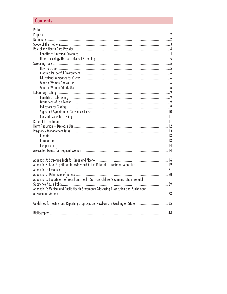# **Contents**

| Appendix E: Department of Social and Health Services Children's Administration Prenatal |  |
|-----------------------------------------------------------------------------------------|--|
|                                                                                         |  |
| Appendix F: Medical and Public Health Statements Addressing Prosecution and Punishment  |  |
|                                                                                         |  |
|                                                                                         |  |
| Guidelines for Testing and Reporting Drug Exposed Newborns in Washington State 35       |  |
|                                                                                         |  |
|                                                                                         |  |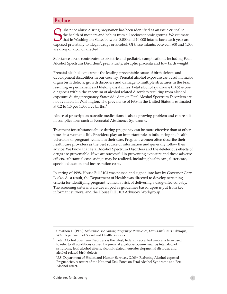## **Preface**

Ubstance abuse during pregnancy has been identified as an issue critical to<br>the health of mothers and babies from all socioeconomic groups. We estimate<br>that in Washington State, between 8,000 and 10,000 infants born each y ubstance abuse during pregnancy has been identified as an issue critical to the health of mothers and babies from all socioeconomic groups. We estimate that in Washington State, between 8,000 and 10,000 infants born each year are are drug or alcohol affected.<sup>1</sup>

Substance abuse contributes to obstetric and pediatric complications, including Fetal Alcohol Spectrum Disorders<sup>2</sup>, prematurity, abruptio placenta and low birth weight.

Prenatal alcohol exposure is the leading preventable cause of birth defects and development disabilities in our country. Prenatal alcohol exposure can result in major organ birth defects, growth disorders and damage to multiple structures in the brain resulting in permanent and lifelong disabilities. Fetal alcohol syndrome (FAS) is one diagnosis within the spectrum of alcohol related disorders resulting from alcohol exposure during pregnancy. Statewide data on Fetal Alcohol Spectrum Disorders are not available in Washington. The prevalence of FAS in the United States is estimated at 0.2 to 1.5 per 1,000 live births. $3$ 

Abuse of prescription narcotic medications is also a growing problem and can result in complications such as Neonatal Abstinence Syndrome.

Treatment for substance abuse during pregnancy can be more effective than at other times in a woman's life. Providers play an important role in influencing the health behaviors of pregnant women in their care. Pregnant women often describe their health care providers as the best source of information and generally follow their advice. We know that Fetal Alcohol Spectrum Disorders and the deleterious effects of drugs are preventable. If we are successful in preventing exposure and these adverse effects, substantial cost savings may be realized, including health care, foster care, special education and incarceration costs.

In spring of 1998, House Bill 3103 was passed and signed into law by Governor Gary Locke. As a result, the Department of Health was directed to develop screening criteria for identifying pregnant women at risk of delivering a drug-affected baby. The screening criteria were developed as guidelines based upon input from key informant surveys, and the House Bill 3103 Advisory Workgroup.

<sup>1</sup> Cawthon L. (1997). *Substance Use During Pregnancy: Prevalence, Effects and Costs.* Olympia, WA: Department of Social and Health Services.

<sup>2</sup> Fetal Alcohol Spectrum Disorders is the latest, federally accepted umbrella term used to refer to all conditions caused by prenatal alcohol exposure, such as fetal alcohol syndrome, fetal alcohol effects, alcohol-related neurodevelopmental disorder, and alcohol-related birth defects.

<sup>3</sup> U.S. Department of Health and Human Services. (2009). Reducing Alcohol-exposed Pregnancies. A report of the National Task Force on Fetal Alcohol Syndrome and Fetal Alcohol Effect.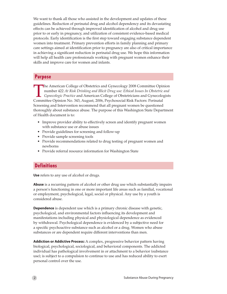We want to thank all those who assisted in the development and updates of these guidelines. Reduction of perinatal drug and alcohol dependency and its devastating effects can be achieved through improved identification of alcohol and drug use prior to or early in pregnancy, and utilization of consistent evidence-based medical protocols. Early identification is the first step toward engaging substance dependent women into treatment. Primary prevention efforts in family planning and primary care settings aimed at identification prior to pregnancy are also of critical importance in achieving a significant reduction in perinatal drug use. We hope this information will help all health care professionals working with pregnant women enhance their skills and improve care for women and infants.

## **Purpose**

The American College of Obstetrics and Gynecology 2008 Committee Opinion number 422 *At Risk Drinking and Illicit Drug use: Ethical Issues In Obstetric and Gynecologic Practice* and American College of Obstetricians and Gynecologists Committee Opinion No. 343, August, 2006, Psychosocial Risk Factors: Perinatal Screening and Intervention recommend that all pregnant women be questioned thoroughly about substance abuse. The purpose of this Washington State Department of Health document is to:

- Improve provider ability to effectively screen and identify pregnant women with substance use or abuse issues
- Provide guidelines for screening and follow-up
- Provide sample screening tools
- Provide recommendations related to drug testing of pregnant women and newborns
- Provide referral resource information for Washington State

## **Definitions**

**Use** refers to any use of alcohol or drugs.

**Abuse** is a recurring pattern of alcohol or other drug use which substantially impairs a person's functioning in one or more important life areas such as familial, vocational or employment, psychological, legal, social or physical. Any use by a youth is considered abuse.

**Dependence** is dependent use which is a primary chronic disease with genetic, psychological, and environmental factors influencing its development and manifestations including physical and physiological dependence as evidenced by withdrawal. Psychological dependence is evidenced by a subjective need for a specific psychoactive substance such as alcohol or a drug. Women who abuse substances or are dependent require different interventions than men.

**Addiction or Addictive Process:** A complex, progressive behavior pattern having biological, psychological, sociological, and behavioral components. The addicted individual has pathological involvement in or attachment to a behavior (substance use); is subject to a compulsion to continue to use and has reduced ability to exert personal control over the use.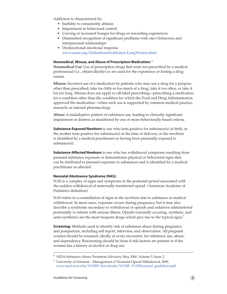Addiction is characterized by:

- Inability to consistently abstain
- Impairment in behavioral control
- Craving or increased hunger for drugs or rewarding experiences
- Diminished recognition of significant problems with one's behaviors and interpersonal relationships
- Dysfunctional emotional response www.asam.org/DefinitionofAddiction-LongVersion.html

## **Nonmedical, Misuse, and Abuse of Prescription Medication:** <sup>4</sup>

**Nonmedical Use:** Use of prescription drugs that were not prescribed by a medical professional (i.e., obtain illicitly) or are used for the experience or feeling a drug causes.

**Misuse:** Incorrect use of a medication by patients who may use a drug for a purpose other than prescribed, take too little or too much of a drug, take it too often, or take it for too long. Misuse does not apply to off-label prescribing—prescribing a medication for a condition other than the condition for which the Food and Drug Administration approved the medication—when such use is supported by common medical practice, research, or rational pharmacology.

**Abuse:** A maladaptive pattern of substance use, leading to clinically significant impairment or distress as manifested by one or more behaviorally based criteria.

**Substance-Exposed Newborn** is one who tests positive for substance(s) at birth, or the mother tests positive for substance(s) at the time of delivery, or the newborn is identified by a medical practitioner as having been prenatally exposed to substance(s).

**Substance-Affected Newborn** is one who has withdrawal symptoms resulting from prenatal substance exposure or demonstrates physical or behavioral signs that can be attributed to prenatal exposure to substances and is identified by a medical practitioner as affected.

#### **Neonatal Abstinence Syndrome (NAS):**

NAS is a complex of signs and symptoms in the postnatal period associated with the sudden withdrawal of maternally transferred opioid. (American Academy of Pediatrics definition)

NAS refers to a constellation of signs in the newborn due to substance or medical withdrawal. In most cases, exposure occurs during pregnancy, but it may also describe a syndrome secondary to withdrawal of opioids and sedatives administered postnatally to infants with serious illness. Opiods (naturally occuring, synthetic, and semi-synthetic) are the most frequent drugs which give rise to the typical signs.<sup>5</sup>

**Screening:** Methods used to identify risk of substance abuse during pregnancy and postpartum, including self report, interview, and observation. All pregnant women should be screened, ideally at every encounter, for substance use, abuse, and dependency. Rescreening should be done if risk factors are present or if the woman has a history of alcohol or drug use.

<sup>4</sup> NIDA Substance Abuse Treatment Advisory, May 2006, Volume 5, Issue 2.

<sup>5</sup> University of Vermont – Management of Neonatal Opioid Withdrawal, 2009. www.med.uvm.edu/VCHIP/downloads/VCHIP\_5%20Neonatal\_guidelines.pdf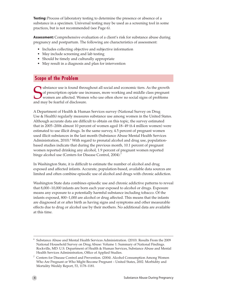**Testing:** Process of laboratory testing to determine the presence or absence of a substance in a specimen. Universal testing may be used as a screening tool in some practices, but is not recommended (see Page 6).

**Assessment:** Comprehensive evaluation of a client's risk for substance abuse during pregnancy and postpartum. The following are characteristics of assessment:

- Includes collecting objective and subjective information
- May include screening and lab testing
- Should be timely and culturally appropriate
- May result in a diagnosis and plan for intervention

## **Scope of the Problem**

Ubstance use is found throughout all social and economic tiers. As the growth<br>of prescription opiate use increases, more working and middle class pregnant<br>women are affected. Women who use often show no social signs of pro of prescription opiate use increases, more working and middle class pregnant women are affected. Women who use often show no social signs of problems and may be fearful of disclosure.

A Department of Health & Human Services survey (National Survey on Drug Use & Health) regularly measures substance use among women in the United States. Although accurate data are difficult to obtain on this topic, the survey estimated that in 2005–2006 almost 10 percent of women aged 18–49 (6.4 million women) were estimated to use illicit drugs. In the same survey, 4.5 percent of pregnant women used illicit substances in the last month (Substance Abuse Mental Health Services Administration, 2010).<sup>6</sup> With regard to prenatal alcohol and drug use, populationbased studies indicate that during the previous month, 10.1 percent of pregnant women reported drinking any alcohol, 1.9 percent of pregnant women reported binge alcohol use (Centers for Disease Control, 2004).<sup>7</sup>

In Washington State, it is difficult to estimate the number of alcohol and drug exposed and affected infants. Accurate, population-based, available data sources are limited and often combine episodic use of alcohol and drugs with chronic addiction.

Washington State data combines episodic use and chronic addictive patterns to reveal that 8,000–10,000 infants are born each year exposed to alcohol or drugs. Exposure means any exposure to a potentially harmful substance including tobacco. Of the infants exposed, 800–1,000 are alcohol or drug affected. This means that the infants are diagnosed at or after birth as having signs and symptoms and other measurable effects due to drug or alcohol use by their mothers. No additional data are available at this time.

<sup>6</sup> Substance Abuse and Mental Health Services Administration. (2010). Results From the 2009 National Household Survey on Drug Abuse: Volume 1: Summary of National Findings. Rockville, MD: U.S. Department of Health & Human Services, Substance Abuse and Mental Health Services Administration, Office of Applied Studies.

<sup>7</sup> Centers for Disease Control and Prevention. (2004). Alcohol Consumption Among Women Who Are Pregnant or Who Might Become Pregnant – United States, 2002. Morbidity and Mortality Weekly Report, 53, 1178–1181.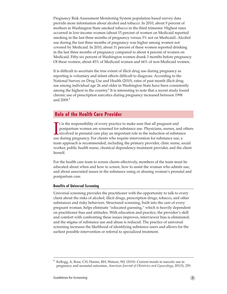Pregnancy Risk Assessment Monitoring System population based survey data provide more information about alcohol and tobacco. In 2010, about 9 percent of mothers in Washington State smoked tobacco in the third trimester. Highest rates occurred in low-income women (about 15 percent of women on Medicaid reported smoking in the last three months of pregnancy versus 3% not on Medicaid). Alcohol use during the last three months of pregnancy was higher among women not covered by Medicaid. In 2010, about 11 percent of these women reported drinking in the last three months of pregnancy compared to about 4 percent of women on Medicaid. Fifty-six percent of Washington women drank 3 months before pregnancy. Of these women, about 45% of Medicaid women and 66% of non-Medicaid women.

It is difficult to ascertain the true extent of illicit drug use during pregnancy as reporting is voluntary and infant effects difficult to diagnose. According to the National Survey on Drug Use and Health (2010), rates of past month illicit drug use among individual age 26 and older in Washington State have been consistently among the highest in the country.<sup>6</sup> It is interesting to note that a recent study found chronic use of prescription narcotics during pregnancy increased between 1998 and 2009.<sup>8</sup>

## **Role of the Health Care Provider**

It is the responsibility of every practice to make sure that all pregnant and postpartum women are screened for substance use. Physicians, nurses, and involved in prenatal care play an important role in the reduction of su t is the responsibility of every practice to make sure that all pregnant and postpartum women are screened for substance use. Physicians, nurses, and others involved in prenatal care play an important role in the reduction of substance team approach is recommended, including the primary provider, clinic nurse, social worker, public health nurse, chemical dependency treatment provider, and the client herself.

For the health care team to screen clients effectively, members of the team must be educated about when and how to screen, how to assist the woman who admits use, and about associated issues in the substance using or abusing woman's prenatal and postpartum care.

#### **Benefits of Universal Screening**

Universal screening provides the practitioner with the opportunity to talk to every client about the risks of alcohol, illicit drugs, prescription drugs, tobacco, and other substances and risky behaviors. Structured screening, built into the care of every pregnant woman, helps eliminate "educated guessing," which is heavily dependent on practitioner bias and attitudes. With education and practice, the provider's skill and comfort with confronting these issues improves, interviewer bias is eliminated, and the stigma of substance use and abuse is reduced. The practice of universal screening increases the likelihood of identifying substance users and allows for the earliest possible intervention or referral to specialized treatment.

<sup>8</sup> Kellogg, A, Rose, CH, Harms, RH, Watson, WJ. (2010). Current trends in narcotic use in pregnancy and neonatal outcomes. *American Journal of Obstetrics and Gynecology*, 201(3), 259.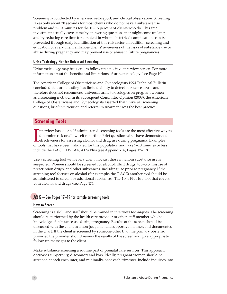Screening is conducted by interview, self-report, and clinical observation. Screening takes only about 30 seconds for most clients who do not have a substance use problem and 5–10 minutes for the 10–15 percent of clients who do. This small investment actually saves time by answering questions that might come up later, and by reducing care time for a patient in whom obstetrical complications can be prevented through early identification of this risk factor. In addition, screening and education of every client enhances clients' awareness of the risks of substance use or abuse during pregnancy and may prevent use or abuse in future pregnancies.

#### **Urine Toxicology Not for Universal Screening**

Urine toxicology may be useful to follow up a positive interview screen. For more information about the benefits and limitations of urine toxicology (see Page 10).

The American College of Obstetricians and Gynecologists 1994 Technical Bulletin concluded that urine testing has limited ability to detect substance abuse and therefore does not recommend universal urine toxicologies on pregnant women as a screening method. In its subsequent Committee Opinion (2008), the American College of Obstetricians and Gynecologists asserted that universal screening questions, brief intervention and referral to treatment was the best practice.

## **Screening Tools**

Interview-based or self-administered screening tools are the most effective way determine risk or allow self reporting. Brief questionnaires have demonstrated effectiveness for assessing alcohol and drug use during pregnan nterview-based or self-administered screening tools are the most effective way to determine risk or allow self reporting. Brief questionnaires have demonstrated Leffectiveness for assessing alcohol and drug use during pregnancy. Examples include the T-ACE, TWEAK, 4 P's Plus (see Appendix A, Pages 17–19).

Use a screening tool with every client, not just those in whom substance use is suspected. Women should be screened for alcohol, illicit drugs, tobacco, misuse of prescription drugs, and other substances, including use prior to pregnancy. If the screening tool focuses on alcohol (for example, the T-ACE) another tool should be administered to screen for additional substances. The 4 P's Plus is a tool that covers both alcohol and drugs (see Page 17).

## **ASK** – See Pages 17–19 for sample screening tools

#### **How to Screen**

Screening is a skill, and staff should be trained in interview techniques. The screening should be performed by the health care provider or other staff member who has knowledge of substance use during pregnancy. Results of the screen should be discussed with the client in a non-judgemental, supportive manner, and documented in the chart. If the client is screened by someone other than the primary obstetric provider, the provider should review the results of the screen and give appropriate follow-up messages to the client.

Make substance screening a routine part of prenatal care services. This approach decreases subjectivity, discomfort and bias. Ideally, pregnant women should be screened at each encounter, and minimally, once each trimester. Include inquiries into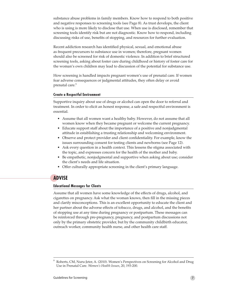substance abuse problems in family members. Know how to respond to both positive and negative responses to screening tools (see Page 8). As trust develops, the client who is using is more likely to disclose that use. When use is disclosed, remember that screening tools identify risk but are not diagnostic. Know how to respond, including discussing risks of use, benefits of stopping, and resources for further evaluation.

Recent addiction research has identified physical, sexual, and emotional abuse as frequent precursors to substance use in women; therefore, pregnant women should also be screened for risk of domestic violence. In addition to brief structured screening tools, asking about foster care during childhood or history of foster care for the woman's own children may lead to discussion of the potential for substance use.

How screening is handled impacts pregnant women's use of prenatal care. If women fear adverse consequences or judgmental attitudes, they often delay or avoid prenatal care.<sup>9</sup>

#### **Create a Respectful Environment**

Supportive inquiry about use of drugs or alcohol can open the door to referral and treatment. In order to elicit an honest response, a safe and respectful environment is essential.

- • Assume that all women want a healthy baby. However, do not assume that all women know when they became pregnant or welcome the current pregnancy.
- Educate support staff about the importance of a positive and nonjudgmental attitude in establishing a trusting relationship and welcoming environment.
- Observe and protect provider and client confidentiality. For example, know the issues surrounding consent for testing clients and newborns (see Page 12).
- • Ask every question in a health context. This lessens the stigma associated with the topic, and expresses concern for the health of the mother and baby.
- Be empathetic, nonjudgmental and supportive when asking about use; consider the client's needs and life situation.
- Offer culturally appropriate screening in the client's primary language.

## **ADVISE**

#### **Educational Messages for Clients**

Assume that all women have some knowledge of the effects of drugs, alcohol, and cigarettes on pregnancy. Ask what the woman knows, then fill in the missing pieces and clarify misconceptions. This is an excellent opportunity to educate the client and her partner about the adverse effects of tobacco, drugs, and alcohol, and the benefits of stopping use at any time during pregnancy or postpartum. These messages can be reinforced through pre-pregnancy, pregnancy, and postpartum discussions not only by the primary obstetric provider, but by the community childbirth educator, outreach worker, community health nurse, and other health care staff.

Roberts, CM, Nuru-Jeter, A. (2010). Women's Perspectives on Screening for Alcohol and Drug Use in Prenatal Care. *Women's Health Issues*, 20, 193-200.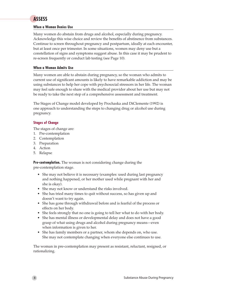### **When a Woman Denies Use**

Many women do abstain from drugs and alcohol, especially during pregnancy. Acknowledge this wise choice and review the benefits of abstinence from substances. Continue to screen throughout pregnancy and postpartum, ideally at each encounter, but at least once per trimester. In some situations, women may deny use but a constellation of signs and symptoms suggest abuse. In this case it may be prudent to re-screen frequently or conduct lab testing (see Page 10).

### **When a Woman Admits Use**

Many women are able to abstain during pregnancy, so the woman who admits to current use of significant amounts is likely to have remarkable addiction and may be using substances to help her cope with psychosocial stressors in her life. The woman may feel safe enough to share with the medical provider about her use but may not be ready to take the next step of a comprehensive assessment and treatment.

The Stages of Change model developed by Prochaska and DiClemente (1992) is one approach to understanding the steps to changing drug or alcohol use during pregnancy.

## **Stages of Change**

The stages of change are:

- 1. Pre-contemplation
- 2. Contemplation
- 3. Preparation
- 4. Action
- 5. Relapse

**Pre-contemplation.** The woman is not considering change during the pre-contemplation stage.

- She may not believe it is necessary (examples: used during last pregnancy and nothing happened, or her mother used while pregnant with her and she is okay).
- She may not know or understand the risks involved.
- She has tried many times to quit without success, so has given up and doesn't want to try again.
- She has gone through withdrawal before and is fearful of the process or effects on her body.
- She feels strongly that no one is going to tell her what to do with her body.
- She has mental illness or developmental delay and does not have a good grasp of what using drugs and alcohol during pregnancy means—even when information is given to her.
- She has family members or a partner, whom she depends on, who use. She may not contemplate changing when everyone else continues to use.

The woman in pre-contemplation may present as resistant, reluctant, resigned, or rationalizing.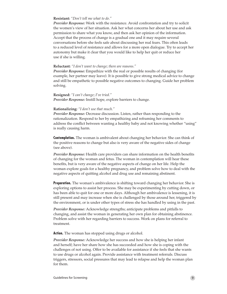#### **Resistant:** *"Don't tell me what to do."*

*Provider Response:* Work with the resistance. Avoid confrontation and try to solicit the women's view of her situation. Ask her what concerns her about her use and ask permission to share what you know, and then ask her opinion of the information. Accept that the process of change is a gradual one and it may require several conversations before she feels safe about discussing her real fears. This often leads to a reduced level of resistance and allows for a more open dialogue. Try to accept her autonomy but make it clear that you would like to help her quit or reduce her use if she is willing.

#### **Reluctant:** *"I don't want to change; there are reasons."*

*Provider Response:* Empathize with the real or possible results of changing (for example, her partner may leave). It is possible to give strong medical advice to change and still be empathetic to possible negative outcomes to changing. Guide her problem solving.

#### **Resigned:** *"I can't change; I've tried." Provider Response:* Instill hope, explore barriers to change.

#### **Rationalizing:** *"I don't use that much."*

*Provider Response:* Decrease discussion. Listen, rather than responding to the rationalization. Respond to her by empathizing and reframing her comments to address the conflict between wanting a healthy baby and not knowing whether "using" is really causing harm.

**Contemplation.** The woman is ambivalent about changing her behavior. She can think of the positive reasons to change but also is very aware of the negative sides of change (see above).

*Provider Response:* Health care providers can share information on the health benefits of changing for the woman and fetus. The woman in contemplation will hear these benefits, but is very aware of the negative aspects of change on her life. Help the woman explore goals for a healthy pregnancy, and problem solve how to deal with the negative aspects of quitting alcohol and drug use and remaining abstinent.

**Preparation.** The woman's ambivalence is shifting toward changing her behavior. She is exploring options to assist her process. She may be experimenting by cutting down, or has been able to quit for one or more days. Although her ambivalence is lessening, it is still present and may increase when she is challenged by those around her, triggered by the environment, or is under other types of stress she has handled by using in the past.

*Provider Response:* Acknowledge strengths; anticipate problems and pitfalls to changing, and assist the woman in generating her own plan for obtaining abstinence. Problem solve with her regarding barriers to success. Work on plans for referral to treatment.

**Action.** The woman has stopped using drugs or alcohol.

*Provider Response:* Acknowledge her success and how she is helping her infant and herself; have her share how she has succeeded and how she is coping with the challenges of not using. Offer to be available for assistance if she feels that she wants to use drugs or alcohol again. Provide assistance with treatment referrals. Discuss triggers, stressors, social pressures that may lead to relapse and help the woman plan for them.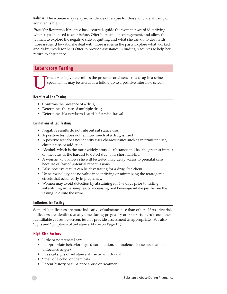**Relapse.** The woman may relapse; incidence of relapse for those who are abusing or addicted is high.

*Provider Response:* If relapse has occurred, guide the woman toward identifying what steps she used to quit before. Offer hope and encouragement, and allow the woman to explore the negative side of quitting and what she can do to deal with those issues. (How did she deal with those issues in the past? Explore what worked and didn't work for her.) Offer to provide assistance in finding resources to help her return to abstinence.

## **Laboratory Testing**

rine toxicology determines the presence or absence of a drug in a urine specimen. It may be useful as a follow up to a positive interview screen.

## **Benefits of Lab Testing**

- Confirms the presence of a drug
- • Determines the use of multiple drugs
- Determines if a newborn is at risk for withdrawal

### **Limitations of Lab Testing**

- Negative results do not rule out substance use.
- • A positive test does not tell how much of a drug is used.
- • A positive test does not identify user characteristics such as intermittent use, chronic use, or addiction.
- Alcohol, which is the most widely abused substance and has the greatest impact on the fetus, is the hardest to detect due to its short half-life.
- A woman who knows she will be tested may delay access to prenatal care because of fear of potential repercussions.
- False positive results can be devastating for a drug-free client.
- Urine toxicology has no value in identifying or minimizing the teratogenic effects that occur early in pregnancy.
- Women may avoid detection by abstaining for 1–3 days prior to testing, substituting urine samples, or increasing oral beverage intake just before the testing to dilute the urine.

#### **Indicators for Testing**

Some risk indicators are more indicative of substance use than others. If positive risk indicators are identified at any time during pregnancy or postpartum, rule out other identifiable causes, re-screen, test, or provide assessment as appropriate. (See also Signs and Symptoms of Substance Abuse on Page 11.)

## **High Risk Factors**

- Little or no prenatal care
- Inappropriate behavior (e.g., disorientation, somnolence, loose associations, unfocused anger)
- Physical signs of substance abuse or withdrawal
- Smell of alcohol or chemicals
- Recent history of substance abuse or treatment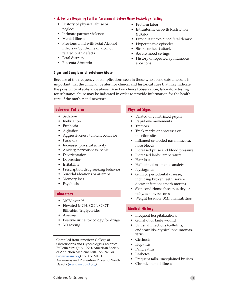### **Risk Factors Requiring Further Assessment Before Urine Toxicology Testing**

- History of physical abuse or neglect
- Intimate partner violence
- Mental illness
- Previous child with Fetal Alcohol Effects or Syndrome or alcohol related birth defects
- Fetal distress
- Placenta Abruptio

### **Signs and Symptoms of Substance Abuse**

- Preterm labor
- Intrauterine Growth Restriction  $(II)GR$
- • Previous unexplained fetal demise
- Hypertensive episodes
- Stroke or heart attack
- Severe mood swings
- History of repeated spontaneous abortions

Because of the frequency of complications seen in those who abuse substances, it is important that the clinician be alert for clinical and historical cues that may indicate the possibility of substance abuse. Based on clinical observation, laboratory testing for substance abuse may be indicated in order to provide information for the health care of the mother and newborn.

#### **Behavior Patterns**

- Sedation
- Inebriation
- **Euphoria**
- • Agitation
- • Aggressiveness/violent behavior
- • Paranoia
- Increased physical activity
- • Anxiety, nervousness, panic
- **Disorientation**
- Depression
- • Irritability
- • Prescription drug seeking behavior
- • Suicidal ideations or attempt
- Memory loss
- Psychosis

## **Laboratory**

- MCV over 95
- • Elevated MCH, GGT, SGOT, Bilirubin, Triglycerides
- • Anemia
- Positive urine toxicology for drugs
- STI testing

Compiled from American College of Obstetricians and Gynecologists Technical Bulletin #194 (July 1994), American Society of Addiction Medicine (301-656-3920 or (www[.asam.org](www.asam.org)) and the METH

Awareness and Prevention Project of South Dakota [\(www.mappsd.org](www.mappsd.org)).

## **Physical Signs**

- • Dilated or constricted pupils
- Rapid eye movements
- Tremors
- • Track marks or abscesses or injection sites
- Inflamed or eroded nasal mucosa, nose bleeds
- Increased pulse and blood pressure
- Increased body temperature
- Hair loss
- Hallucinations, panic, anxiety
- Nystagmus
- • Gum or periodontal disease, including broken teeth, severe decay, infections (meth mouth)
- Skin conditions: abscesses, dry or itchy, acne type sores
- Weight loss-low BMI, malnutrition

## **Medical History**

- Frequent hospitalizations
- Gunshot or knife wound
- Unusual infections (cellulitis, endocarditis, atypical pneumonias, HIV)
- • Cirrhosis
- **Hepatitis**
- **Pancreatitis**
- **Diabetes**
- Frequent falls, unexplained bruises
- Chronic mental illness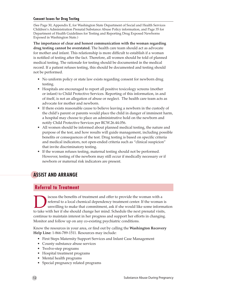### **Consent Issues for Drug Testing**

(See Page 30, Appendix E, for Washington State Department of Social and Health Services Children's Administration Prenatal Substance Abuse Policy information, and Page 35 for Department of Health Guidelines for Testing and Reporting Drug Exposed Newborns Exposed in Washington State.)

**The importance of clear and honest communication with the woman regarding drug testing cannot be overstated.** The health care team should act as advocate for mother and infant. This relationship is more difficult to establish if a woman is notified of testing after the fact. Therefore, all women should be told of planned medical testing. The rationale for testing should be documented in the medical record. If a patient refuses testing, this should be documented and testing should not be performed.

- No uniform policy or state law exists regarding consent for newborn drug testing.
- Hospitals are encouraged to report all positive toxicology screens (mother or infant) to Child Protective Services. Reporting of this information, in and of itself, is not an allegation of abuse or neglect. The health care team acts as advocate for mother and newborn.
- If there exists reasonable cause to believe leaving a newborn in the custody of the child's parent or parents would place the child in danger of imminent harm, a hospital may choose to place an administrative hold on the newborn and notify Child Protective Services per RCW.26.44.056.
- All women should be informed about planned medical testing, the nature and purpose of the test, and how results will guide management, including possible benefits or consequences of the test. Drug testing is based on specific criteria and medical indicators, not open-ended criteria such as "clinical suspicion" that invite discriminatory testing.
- If the woman refuses testing, maternal testing should not be performed. However, testing of the newborn may still occur if medically necessary or if newborn or maternal risk indicators are present.

# **ASSIST AND ARRANGE**

## **Referral to Treatment**

iscuss the benefits of treatment and offer to provide the woman with a referral to a local chemical dependency treatment center. If the woman is unwilling to make that commitment, ask if she would like some information to take with her if she should change her mind. Schedule the next prenatal visits, continue to maintain interest in her progress and support her efforts in changing. Monitor and follow up on any co-existing psychiatric conditions.

Know the resources in your area, or find out by calling the **Washington Recovery Help Line:** 1-866-789-1511. Resources may include:

- First Steps Maternity Support Services and Infant Case Management
- County substance abuse services
- • Twelve-step programs
- Hospital treatment programs
- Mental health programs
- • Special pregnancy related programs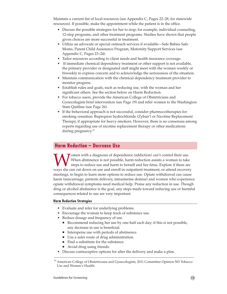Maintain a current list of local resources (see Appendix C, Pages 22–28, for statewide resources). If possible, make the appointment while the patient is in the office.

- • Discuss the possible strategies for her to stop; for example, individual counseling, 12-step programs, and other treatment programs. Studies have shown that people given choices are more successful in treatment.
- • Utilize an advocate or special outreach services if available—Safe Babies Safe Moms, Parent Child Assistance Program, Maternity Support Services (see Appendix C, Pages 23–24).
- Tailor resources according to client needs and health insurance coverage.
- If immediate chemical dependency treatment or other support is not available, the primary provider or designated staff might meet with the woman weekly or biweekly to express concern and to acknowledge the seriousness of the situation.
- • Maintain communication with the chemical dependency treatment provider to monitor progress.
- Establish rules and goals, such as reducing use, with the woman and her significant others. See the section below on Harm Reduction.
- For tobacco users, provide the American College of Obstetricians and Gynecologists brief intervention (see Page 19) and refer women to the Washington State Quitline (see Page 26).
- If the behavioral approach is not successful, consider pharmocotherapies for smoking cessation: Bupropion hydrochloride (Zyban<sup>®</sup>) or Nicotine Replacement Therapy, if appropriate for heavy smokers. However, there is no consensus among experts regarding use of nicotine replacement therapy or other medications during pregnancy.<sup>10</sup>

## **Harm Reduction – Decrease Use**

Women with a diagnosis of dependence (addiction) can't control their use.<br>When abstinence is not possible, harm reduction assists a woman to take<br>steps to reduce use and harm to herself and her fetus. Explore if there are<br> When abstinence is not possible, harm reduction assists a woman to take steps to reduce use and harm to herself and her fetus. Explore if there are ways she can cut down on use and enroll in outpatient treatment, or attend recovery meetings, to begin to learn more options to reduce use. Opiate withdrawal can cause harm (miscarriage, preterm delivery, intrauterine demise) and women who experience opiate withdrawal symptoms need medical help. Praise any reduction in use. Though drug or alcohol abstinence is the goal, any steps made toward reducing use or harmful consequences related to use are very important.

### **Harm Reduction Strategies**

- • Evaluate and refer for underlying problems.
- Encourage the woman to keep track of substance use.
- Reduce dosage and frequency of use.
	- Recommend reducing her use by one-half each day; if this is not possible, any decrease in use is beneficial.
	- $\blacksquare$  Intersperse use with periods of abstinence.
	- Use a safer route of drug administration.
	- Find a substitute for the substance.
	- Avoid drug using friends.
- Discuss contraceptive options for after the delivery and make a plan.

<sup>&</sup>lt;sup>10</sup> American College of Obstetricians and Gynecologists, 2011 Committee Opinion 503 Tobacco Use and Women's Health.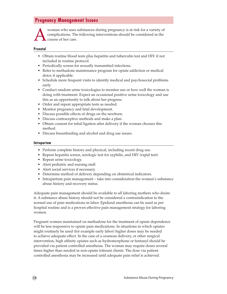## **Pregnancy Management Issues**

Woman who uses substances during pregnancy is at risk for a variety of complications. The following interventions should be considered in the course of her care. complications. The following interventions should be considered in the course of her care.

#### **Prenatal**

- Obtain routine blood tests plus hepatitis and tuberculin test and HIV if not included in routine protocol.
- Periodically screen for sexually transmitted infections.
- Refer to methadone maintenance program for opiate addiction or medical detox if applicable.
- Schedule more frequent visits to identify medical and psychosocial problems early.
- Conduct random urine toxicologies to monitor use or how well the woman is doing with treatment. Expect an occasional positive urine toxicology and use this as an opportunity to talk about her progress.
- • Order and repeat appropriate tests as needed.
- Monitor pregnancy and fetal development.
- Discuss possible effects of drugs on the newborn.
- Discuss contraceptive methods and make a plan.
- Obtain consent for tubal ligation after delivery if the woman chooses this method.
- Discuss breastfeeding and alcohol and drug use issues.

#### **Intrapartum**

- Perform complete history and physical, including recent drug use.
- Repeat hepatitis screen, serologic test for syphilis, and HIV (rapid test).
- Repeat urine toxicology.
- Alert pediatric and nursing staff.
- Alert social services if necessary.
- Determine method of delivery depending on obstetrical indicators.
- Intrapartum pain management take into consideration the woman's substance abuse history and recovery status.

Adequate pain management should be available to all laboring mothers who desire it. A substance abuse history should not be considered a contraindication to the normal use of pain medications in labor. Epidural anesthesia can be used as per hospital routine and is a proven effective pain management strategy for laboring women.

Pregnant women maintained on methadone for the treatment of opiate dependence will be less responsive to opiate pain medications. In situations in which opiates might routinely be used (for example early labor) higher doses may be needed to achieve adequate effect. In the case of a cesarean delivery, or other surgical intervention, high affinity opiates such as hydromorphone or fentanyl should be provided via patient controlled anesthesia. The woman may require doses several times higher than needed in non-opiate tolerant clients. The dose via patient controlled anesthesia may be increased until adequate pain relief is achieved.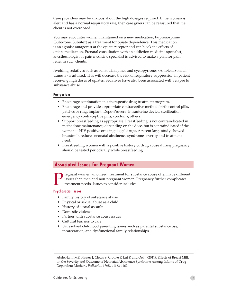Care providers may be anxious about the high dosages required. If the woman is alert and has a normal respiratory rate, then care givers can be reassured that the client is not overdosed.

You may encounter women maintained on a new medication, buprenorphine (Suboxone, Subutex) as a treatment for opiate dependence. This medication is an agonist-antagonist at the opiate receptor and can block the effects of opiate medication. Prenatal consultation with an addiction medicine specialist, anesthesiologist or pain medicine specialist is advised to make a plan for pain relief in such clients.

Avoiding sedatives such as benzodiazepines and cyclopyrrones (Ambien, Sonata, Lunesta) is advised. This will decrease the risk of respiratory suppression in patient receiving high doses of opiates. Sedatives have also been associated with relapse to substance abuse.

#### **Postpartum**

- Encourage continuation in a therapeutic drug treatment program.
- Encourage and provide appropriate contraceptive method: birth control pills, patches or ring, implant, Depo-Provera, intrauterine device, sterilization, emergency contraceptive pills, condoms, others.
- • Support breastfeeding as appropriate. Breastfeeding is not contraindicated in methadone maintenance, depending on the dose, but is contraindicated if the woman is HIV positive or using illegal drugs. A recent large study showed breastmilk reduces neonatal abstinence syndrome severity and treatment need.11
- Breastfeeding women with a positive history of drug abuse during pregnancy should be tested periodically while breastfeeding.

## **Associated Issues for Pregnant Women**

regnant women who need treatment for substance abuse often have different issues than men and non-pregnant women. Pregnancy further complicates treatment needs. Issues to consider include:

#### **Psychosocial Issues**

- Family history of substance abuse
- • Physical or sexual abuse as a child
- History of sexual assault
- Domestic violence
- Partner with substance abuse issues
- Cultural barriers to care
- Unresolved childhood parenting issues such as parental substance use, incarceration, and dysfunctional family relationships

<sup>&</sup>lt;sup>11</sup> Abdel-Latif ME, Pinner J, Clews S, Crooke F, Lui K and Oei J. (2011). Effects of Breast Milk on the Severity and Outcome of Neonatal Abstinence Syndrome Among Infants of Drug-Dependent Mothers. *Pediatrics*, 17(6), e1163-1169.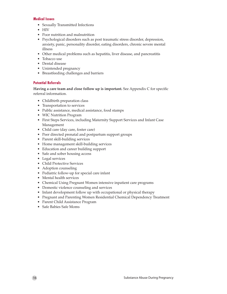### **Medical Issues**

- • Sexually Transmitted Infections
- • HIV
- Poor nutrition and malnutrition
- Psychological disorders such as post traumatic stress disorder, depression, anxiety, panic, personality disorder, eating disorders, chronic severe mental illness
- Other medical problems such as hepatitis, liver disease, and pancreatitis
- Tobacco use
- Dental disease
- Unintended pregnancy
- • Breastfeeding challenges and barriers

## **Potential Referrals**

**Having a care team and close follow up is important.** See Appendix C for specific referral information.

- Childbirth preparation class
- Transportation to services
- Public assistance, medical assistance, food stamps
- WIC Nutrition Program
- • First Steps Services, including Maternity Support Services and Infant Case Management
- • Child care (day care, foster care)
- Peer directed prenatal and postpartum support groups
- Parent skill-building services
- Home management skill-building services
- • Education and career building support
- Safe and sober housing access
- Legal services
- • Child Protective Services
- Adoption counseling
- • Pediatric follow-up for special care infant
- Mental health services
- Chemical Using Pregnant Women intensive inpatient care programs
- • Domestic violence counseling and services
- Infant development follow up with occupational or physical therapy
- Pregnant and Parenting Women Residential Chemical Dependency Treatment
- Parent Child Assistance Program
- Safe Babies Safe Moms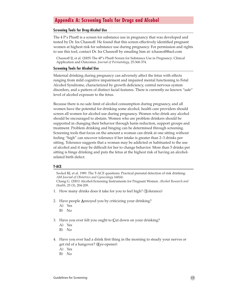## **Appendix A: Screening Tools for Drugs and Alcohol**

#### **Screening Tools for Drug-Alcohol Use**

The 4 P's Plus© is a screen for substance use in pregnancy that was developed and tested by Dr. Ira Chasnoff. He found that this screen effectively identified pregnant women at highest risk for substance use during pregnancy. For permission and rights to use this tool, contact Dr. Ira Chasnoff by emailing him at: ichasnoff@aol.com

Chasnoff IJ, et al. (2005) The 4P's Plus© Screen for Substance Use in Pregnancy: Clinical Application and Outcomes. *Journal of Perinatology,* 25:368-374.

#### **Screening Tools for Alcohol Use**

Maternal drinking during pregnancy can adversely affect the fetus with effects ranging from mild cognitive impairment and impaired mental functioning to Fetal Alcohol Syndrome, characterized by growth deficiency, central nervous system disorders, and a pattern of distinct facial features. There is currently no known "safe" level of alcohol exposure to the fetus.

Because there is no safe limit of alcohol consumption during pregnancy, and all women have the potential for drinking some alcohol, health care providers should screen all women for alcohol use during pregnancy. Women who drink any alcohol should be encouraged to abstain. Women who are problem drinkers should be supported in changing their behavior through harm reduction, support groups and treatment. Problem drinking and binging can be determined through screening. Screening tools that focus on the amount a woman can drink at one sitting without feeling "high" can uncover tolerance if her intake is greater than 2–3 drinks per sitting. Tolerance suggests that a woman may be addicted or habituated to the use of alcohol and it may be difficult for her to change behavior. More than 5 drinks per sitting is binge drinking and puts the fetus at the highest risk of having an alcoholrelated birth defect.

#### **T-ACE**

Sockol RJ, et al. 1989. The T-ACE questions: Practical prenatal detection of risk drinking: *AM Journal of Obstetrics and Gynecology* 160(4).

Chang G. (2001) Alcohol-Screening Instruments for Pregnant Women. *Alcohol Research and Health,* 25 (3), 204-209.

- 1. How many drinks does it take for you to feel high? (**T**olerance)
- 2. Have people **A**nnoyed you by criticizing your drinking?
	- A) Yes
	- B) No
- 3. Have you ever felt you ought to **C**ut down on your drinking?
	- A) Yes
	- B) No
- 4. Have you ever had a drink first thing in the morning to steady your nerves or get rid of a hangover? (**E**ye-opener)
	- A) Yes
	- B) No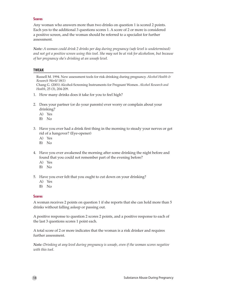### **Scores**

Any woman who answers more than two drinks on question 1 is scored 2 points. Each yes to the additional 3 questions scores 1. A score of 2 or more is considered a positive screen, and the woman should be referred to a specialist for further assessment.

*Note: A woman could drink 2 drinks per day during pregnancy (safe level is undetermined) and not get a positive screen using this tool. She may not be at risk for alcoholism, but because of her pregnancy she's drinking at an unsafe level.*

### **TWEAK**

Russell M. 1994. New assessment tools for risk drinking during pregnancy. *Alcohol Health & Research World* 18(1)

Chang G. (2001) Alcohol-Screening Instruments for Pregnant Women. *Alcohol Research and Health*, 25 (3), 204-209.

- 1. How many drinks does it take for you to feel high?
- 2. Does your partner (or do your parents) ever worry or complain about your drinking?
	- A) Yes
	- B) No
- 3. Have you ever had a drink first thing in the morning to steady your nerves or get rid of a hangover? (Eye-opener)
	- A) Yes
	- B) No
- 4. Have you ever awakened the morning after some drinking the night before and found that you could not remember part of the evening before?
	- A) Yes
	- B) No
- 5. Have you ever felt that you ought to cut down on your drinking?
	- A) Yes
	- B) No

### **Scores**

A woman receives 2 points on question 1 if she reports that she can hold more than 5 drinks without falling asleep or passing out.

A positive response to question 2 scores 2 points, and a positive response to each of the last 3 questions scores 1 point each.

A total score of 2 or more indicates that the woman is a risk drinker and requires further assessment.

*Note: Drinking at any level during pregnancy is unsafe, even if the woman scores negative with this tool.*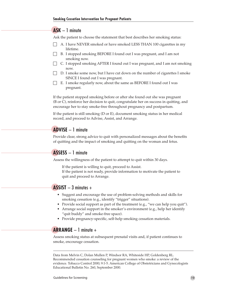## **ASK** – 1 minute

Ask the patient to choose the statement that best describes her smoking status:

- $\Box$  A. I have NEVER smoked or have smoked LESS THAN 100 cigarettes in my lifetime.
- B. I stopped smoking BEFORE I found out I was pregnant, and I am not smoking now.
- $\Box$  C. I stopped smoking AFTER I found out I was pregnant, and I am not smoking now.
- D. I smoke some now, but I have cut down on the number of cigarettes I smoke SINCE I found out I was pregnant.
- $\Box$  E. I smoke regularly now, about the same as BEFORE I found out I was pregnant.

If the patient stopped smoking before or after she found out she was pregnant (B or C), reinforce her decision to quit, congratulate her on success in quitting, and encourage her to stay smoke-free throughout pregnancy and postpartum.

If the patient is still smoking (D or E), document smoking status in her medical record, and proceed to Advise, Assist, and Arrange.

## **ADVISE** – 1 minute

Provide clear, strong advice to quit with personalized messages about the benefits of quitting and the impact of smoking and quitting on the woman and fetus.

## **ASSESS** – 1 minute

Assess the willingness of the patient to attempt to quit within 30 days.

If the patient is willing to quit, proceed to Assist. If the patient is not ready, provide information to motivate the patient to quit and proceed to Arrange.

## **ASSIST** – 3 minutes +

- Suggest and encourage the use of problem-solving methods and skills for smoking cessation (e.g., identify "trigger" situations).
- Provide social support as part of the treatment (e.g., "we can help you quit").
- Arrange social support in the smoker's environment (e.g., help her identify "quit buddy" and smoke-free space).
- Provide pregnancy-specific, self-help smoking cessation materials.

## **ARRANGE** – 1 minute +

Assess smoking status at subsequent prenatal visits and, if patient continues to smoke, encourage cessation.

Data from Melvin C, Dolan Mullen P, Windsor RA, Whiteside HP, Goldenberg RL. Recommended cessation counseling for pregnant women who smoke: a review of the evidence. Tobacco Control 2000; 9:1-5. American College of Obstetricians and Gynecologists Educational Bulletin No. 260, September 2000.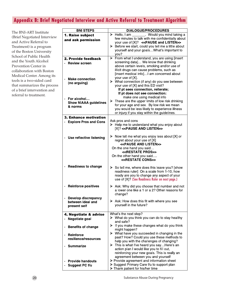# **Appendix B: Brief Negotiated Interview and Active Referral to Treatment Algorithm**

The BNI-ART Institute (Brief Negotiated Interview and Active Referral to Treatment) is a program of the Boston University School of Public Health and the Youth Alcohol Prevention Center in collaboration with Boston Medical Center. Among its tools is a two-sided card that summarizes the process of a brief intervention and referral to treatment.

| <b>BNI STEPS</b>                         | <b>DIALOGUE/PROCEDURES</b>                                                                                  |  |  |  |  |  |  |
|------------------------------------------|-------------------------------------------------------------------------------------------------------------|--|--|--|--|--|--|
| 1. Raise subject                         | _. Would you mind taking a<br>$\triangleright$ Hello, I am                                                  |  |  |  |  |  |  |
| and ask permission                       | few minutes to talk with me confidentially about                                                            |  |  |  |  |  |  |
|                                          | your use of [X]? << PAUSE and LISTEN>>                                                                      |  |  |  |  |  |  |
|                                          | > Before we start, could you tell me a little about                                                         |  |  |  |  |  |  |
|                                          | yourself and your goalsWhat's important to                                                                  |  |  |  |  |  |  |
|                                          | you?                                                                                                        |  |  |  |  |  |  |
| 2. Provide feedback                      | > From what I understand, you are using [insert                                                             |  |  |  |  |  |  |
| <b>Review screen</b>                     | screening data] We know that drinking                                                                       |  |  |  |  |  |  |
|                                          | above certain levels, smoking and/or use of<br>illicit drugs can cause problems, such as                    |  |  |  |  |  |  |
|                                          | [insert medical info] I am concerned about                                                                  |  |  |  |  |  |  |
|                                          | your use of [X].                                                                                            |  |  |  |  |  |  |
| <b>Make connection</b>                   | > What connection (if any) do you see between                                                               |  |  |  |  |  |  |
| (no arguing)                             | your use of [X] and this ED visit?                                                                          |  |  |  |  |  |  |
|                                          | If pt sees connection, reiterate;                                                                           |  |  |  |  |  |  |
|                                          | If pt does not see connection:                                                                              |  |  |  |  |  |  |
| $\cdot$ For alcohol                      | make one using medical info                                                                                 |  |  |  |  |  |  |
| <b>Show NIAAA guidelines</b>             | $\triangleright$ These are the upper limits of low risk drinking                                            |  |  |  |  |  |  |
| & norms                                  | for your age and sex. By low risk we mean                                                                   |  |  |  |  |  |  |
|                                          | you would be less likely to experience illness                                                              |  |  |  |  |  |  |
|                                          | or injury if you stay within the guidelines.                                                                |  |  |  |  |  |  |
| <b>3. Enhance motivation</b>             |                                                                                                             |  |  |  |  |  |  |
| <b>Explore Pros and Cons</b>             | Ask pros and cons<br>> Help me to understand what you enjoy about                                           |  |  |  |  |  |  |
|                                          | [X]? < <pause and="" listen="">&gt;</pause>                                                                 |  |  |  |  |  |  |
|                                          |                                                                                                             |  |  |  |  |  |  |
|                                          | $\triangleright$ Now tell me what you enjoy less about [X] or                                               |  |  |  |  |  |  |
| Use reflective listening                 | regret about your use of [X]                                                                                |  |  |  |  |  |  |
|                                          | < <pause and="" listen="">&gt;</pause>                                                                      |  |  |  |  |  |  |
|                                          | On the one hand you said                                                                                    |  |  |  |  |  |  |
|                                          | < <restate pros="">&gt;</restate>                                                                           |  |  |  |  |  |  |
|                                          | On the other hand you said                                                                                  |  |  |  |  |  |  |
|                                          | < <restate cons="">&gt;</restate>                                                                           |  |  |  |  |  |  |
| <b>Readiness to change</b>               |                                                                                                             |  |  |  |  |  |  |
|                                          | $\triangleright$ So tell me, where does this leave you? [show<br>readiness ruler] On a scale from 1-10, how |  |  |  |  |  |  |
|                                          | ready are you to change any aspect of your                                                                  |  |  |  |  |  |  |
|                                          | use of [X]? (See Readiness Ruler on next page.)                                                             |  |  |  |  |  |  |
|                                          |                                                                                                             |  |  |  |  |  |  |
| <b>Reinforce positives</b>               | > Ask: Why did you choose that number and not                                                               |  |  |  |  |  |  |
|                                          | a lower one like a 1 or a 2? Other reasons for                                                              |  |  |  |  |  |  |
|                                          | change?                                                                                                     |  |  |  |  |  |  |
| Develop discrepancy<br>between ideal and | $\triangleright$ Ask: How does this fit with where you see                                                  |  |  |  |  |  |  |
| present self                             | yourself in the future?                                                                                     |  |  |  |  |  |  |
|                                          |                                                                                                             |  |  |  |  |  |  |
| 4. Negotiate & advise                    | What's the next step?                                                                                       |  |  |  |  |  |  |
| Negotiate goal                           | $\triangleright$ What do you think you can do to stay healthy                                               |  |  |  |  |  |  |
|                                          | and safe?                                                                                                   |  |  |  |  |  |  |
| <b>Benefits of change</b>                | $\triangleright$ If you make these changes what do you think                                                |  |  |  |  |  |  |
|                                          | might happen?                                                                                               |  |  |  |  |  |  |
| <b>Reinforce</b>                         | What have you succeeded in changing in the<br>➤                                                             |  |  |  |  |  |  |
| resilience/resources                     | past? How? Could you use these methods to                                                                   |  |  |  |  |  |  |
|                                          | help you with the challenges of changing?                                                                   |  |  |  |  |  |  |
| <b>Summarize</b>                         | > This is what I've heard you sayHere's an                                                                  |  |  |  |  |  |  |
|                                          | action plan I would like you to fill out,                                                                   |  |  |  |  |  |  |
|                                          | reinforcing your new goals. This is really an<br>agreement between you and yourself                         |  |  |  |  |  |  |
| <b>Provide handouts</b>                  | > Provide agreement and information sheet                                                                   |  |  |  |  |  |  |
| Suggest PC f/u                           | ▶ Suggest Primary Care f/u to support plan                                                                  |  |  |  |  |  |  |
|                                          | > Thank patient for his/her time                                                                            |  |  |  |  |  |  |
|                                          |                                                                                                             |  |  |  |  |  |  |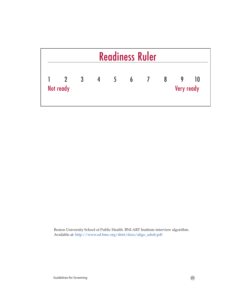| <b>Readiness Ruler</b> |                         |   |                |                            |                |                |   |                   |           |
|------------------------|-------------------------|---|----------------|----------------------------|----------------|----------------|---|-------------------|-----------|
|                        | $\overline{\mathbf{2}}$ | 3 | $\overline{4}$ | $\overline{\phantom{a}}$ 5 | $\overline{6}$ | $\overline{7}$ | 8 | 9                 | <b>10</b> |
|                        | Not ready               |   |                |                            |                |                |   | <b>Very ready</b> |           |

Boston University School of Public Health. BNI-ART Institute interview algorithm. Available at: [http://www.ed.bmc.org/sbirt/docs/aligo\\_adult.pdf](http://www.ed.bmc.org/sbirt/docs/aligo_adult.pdf)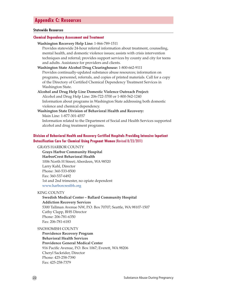## **Appendix C: Resources**

#### **Statewide Resources**

#### **Chemical Dependency Assessment and Treatment**

### **Washington Recovery Help Line:** 1-866-789-1511

Provides statewide 24-hour referral information about treatment, counseling, mental health, and domestic violence issues; assists with crisis intervention techniques and referral; provides support services by county and city for teens and adults. Assistance for providers and clients.

**Washington State Alcohol Drug Clearinghouse:** 1-800-662-9111 Provides continually-updated substance abuse resources; information on programs, personnel, referrals, and copies of printed materials. Call for a copy of the Directory of Certified Chemical Dependency Treatment Services in Washington State.

**Alcohol and Drug Help Line Domestic Violence Outreach Project:**  Alcohol and Drug Help Line: 206-722-3700 or 1-800-562-1240 Information about programs in Washington State addressing both domestic violence and chemical dependency.

### **Washington State Division of Behavioral Health and Recovery:**  Main Line: 1-877-301-4557 Information related to the Department of Social and Health Services supported

alcohol and drug treatment programs.

## **Division of Behavioral Health and Recovery Certified Hospitals Providing Intensive Inpatient Detoxification Care for Chemical Using Pregnant Women** (Revised 8/23/2011)

#### GRAYS HARBOR COUNTY

**Grays Harbor Community Hospital HarborCrest Behavioral Health** 1006 North H Street; Aberdeen, WA 98520 Larry Kahl, Director Phone: 360-533-8500 Fax: 360-537-6492 1st and 2nd trimester, no opiate dependent <www.harborcrestbh.org>

#### KING COUNTY

**Swedish Medical Center – Ballard Community Hospital Addiction Recovery Services** 5300 Tallman Avenue NW, P.O. Box 70707; Seattle, WA 98107-1507 Cathy Clapp, BHS Director Phone: 206-781-6350 Fax: 206-781-6183

SNOHOMISH COUNTY

**Providence Recovery Program Behavioral Health Services Providence General Medical Center** 916 Pacific Avenue, P.O. Box 1067; Everett, WA 98206 Cheryl Sackrider, Director Phone: 425-258-7390 Fax: 425-258-7379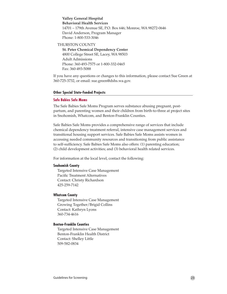**Valley General Hospital Behavioral Health Services** 14701 – 179th Avenue SE, P.O. Box 646; Monroe, WA 98272-0646 David Anderson, Program Manager Phone: 1-800-533-3046

#### THURSTON COUNTY

**St. Peter Chemical Dependency Center** 4800 College Street SE, Lacey, WA 98503 Adult Admissions Phone: 360-493-7575 or 1-800-332-0465 Fax: 360-493-5088

If you have any questions or changes to this information, please contact Sue Green at 360-725-3732, or email: sue.green@dshs.wa.gov.

#### **Other Special State-Funded Projects**

#### **Safe Babies Safe Moms**

The Safe Babies Safe Moms Program serves substance abusing pregnant, postpartum, and parenting women and their children from birth-to-three at project sites in Snohomish, Whatcom, and Benton-Franklin Counties.

Safe Babies Safe Moms provides a comprehensive range of services that include chemical dependency treatment referral, intensive case management services and transitional housing support services. Safe Babies Safe Moms assists women in accessing needed community resources and transitioning from public assistance to self-sufficiency. Safe Babies Safe Moms also offers: (1) parenting education; (2) child development activities; and (3) behavioral health related services.

For information at the local level, contact the following:

#### **Snohomish County**

Targeted Intensive Case Management Pacific Treatment Alternatives Contact: Christy Richardson 425-259-7142

#### **Whatcom County**

Targeted Intensive Case Management Growing Together/Brigid Collins Contact: Kathryn Lyons 360-734-4616

#### **Benton-Franklin Counties**

Targeted Intensive Case Management Benton-Franklin Health District Contact: Shelley Little 509-582-0834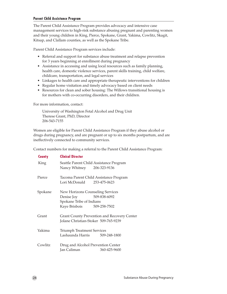### **Parent Child Assistance Program**

The Parent Child Assistance Program provides advocacy and intensive case management services to high-risk substance abusing pregnant and parenting women and their young children in King, Pierce, Spokane, Grant, Yakima, Cowlitz, Skagit, Kitsap, and Clallam counties, as well as the Spokane Tribe.

Parent Child Assistance Program services include:

- Referral and support for substance abuse treatment and relapse prevention for 3 years beginning at enrollment during pregnancy
- Assistance in accessing and using local resources such as family planning, health care, domestic violence services, parent skills training, child welfare, childcare, transportation, and legal services
- Linkages to health care and appropriate therapeutic interventions for children
- Regular home visitation and timely advocacy based on client needs
- Resources for clean and sober housing: The Willows transitional housing is for mothers with co-occurring disorders, and their children.

For more information, contact:

University of Washington Fetal Alcohol and Drug Unit Therese Grant, PhD, Director 206-543-7155

Women are eligible for Parent Child Assistance Program if they abuse alcohol or drugs during pregnancy, and are pregnant or up to six months postpartum, and are ineffectively connected to community services.

Contact numbers for making a referral to the Parent Child Assistance Program:

| <b>County</b> | <b>Clinical Director</b>                                                                                                     |                                                                                            |
|---------------|------------------------------------------------------------------------------------------------------------------------------|--------------------------------------------------------------------------------------------|
| <b>King</b>   | Nancy Whitney 206-323-9136                                                                                                   | Seattle Parent Child Assistance Program                                                    |
| Pierce        | Lori McDonald 253-475-0623                                                                                                   | Tacoma Parent Child Assistance Program                                                     |
| Spokane       | <b>New Horizons Counseling Services</b><br>Denise Joy 509-838-6092<br>Spokane Tribe of Indians<br>Kaye Brisbois 509-258-7502 |                                                                                            |
| Grant         |                                                                                                                              | <b>Grant County Prevention and Recovery Center</b><br>Jolane Christian-Stoker 509-765-9239 |
| Yakima        | <b>Triumph Treatment Services</b><br>Lashaunda Harris                                                                        | 509-248-1800                                                                               |
| Cowlitz       | Jan Caliman                                                                                                                  | Drug and Alcohol Prevention Center<br>360-425-9600                                         |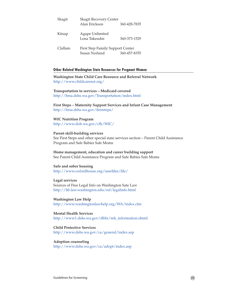| Skagit  | <b>Skagit Recovery Center</b><br>Alan Erickson           | 360-428-7835 |
|---------|----------------------------------------------------------|--------------|
| Kitsap  | Agape Unlimited<br>Lena Takeudni                         | 360-373-1529 |
| Clallam | <b>First Step Family Support Center</b><br>Susan Norland | 360-457-8355 |

#### **Other Related Washington State Resources for Pregnant Women**

**Washington State Child Care Resource and Referral Network** <http://www.childcarenet.org/>

## **Transportation to services – Medicaid covered**

[http://hrsa.dshs.wa.gov/Transportation/i](http://fortress.wa.gov/dshs/maa/Transportation/Brochure.pdf)ndex.html

**First Steps – Maternity Support Services and Infant Case Management** [http://hrsa.dshs.wa.gov/firststeps/](http://fortress.wa.gov/dshs/maa/firststeps/)

#### **WIC Nutrition Program** <http://www.doh.wa.gov/cfh/WIC/>

#### **Parent skill-building services**

See First Steps and other special state services section – Parent Child Assistance Program and Safe Babies Safe Moms

**Home management, education and career building support** See Parent Child Assistance Program and Safe Babies Safe Moms

### **Safe and sober housing** [http://www.o](http://www.dshs.wa.gov/dasa/)xfordhouse.org/userfiles/file/

**Legal services** Sources of Free Legal Info on Washington Sate Law <http://lib.law.washington.edu/ref/legalinfo.html>

**Washington Law Help** <http://www.washingtonlawhelp.org/WA/index.cfm>

#### **Mental Health Services** [http://www1.dshs.wa.gov/](http://www1.dshs.wa.gov/mentalhealth/)dbhr/mh\_information.shtml

**Child Protective Services** <http://www.dshs.wa.gov/ca/general/index.asp>

**Adoption counseling** <http://www.dshs.wa.gov/ca/adopt/index.asp>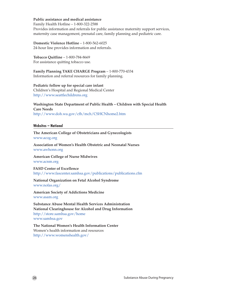### **Public assistance and medical assistance**

Family Health Hotline – 1-800-322-2588

Provides information and referrals for public assistance maternity support services, maternity case management, prenatal care, family planning and pediatric care.

**Domestic Violence Hotline** – 1-800-562-6025 24-hour line provides information and referrals.

#### **Tobacco Quitline** – 1-800-784-8669 For assistance quitting tobacco use.

**Family Planning TAKE CHARGE Program** – 1-800-770-4334 Information and referral resources for family planning.

**Pediatric follow up for special care infant** Children's Hospital and Regional Medical Center [http://www.seattlechildrens.org](http://www.seattlechildrens.org/default.asp)

**Washington State Department of Public Health – Children with Special Health Care Needs** <http://www.doh.wa.gov/cfh/mch/CSHCNhome2.htm>

#### **Websites – National**

**The American College of Obstetricians and Gynecologists** <www.acog.org>

**Association of Women's Health Obstetric and Neonatal Nurses** <www.awhonn.org>

**American College of Nurse Midwives** <www.acnm.org>

**FASD Center of Excellence** <http://www.fascenter.samhsa.gov/publications/publications.cfm>

**National Organization on Fetal Alcohol Syndrome** <www.nofas.org/>

**American Society of Addictions Medicine** <www.asam.org>

**Substance Abuse Mental Health Services Administration National Clearinghouse for Alcohol and Drug Information** http://store.samhsa.gov/home www.samhsa.gov

**The National Women's Health Information Center** Women's health information and resources <http://www.womenshealth.gov/>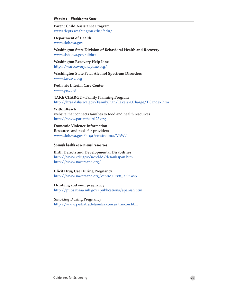#### **Websites – Washington State**

**Parent Child Assistance Program** <www.depts.washington.edu/fadu/>

**Department of Health** <www.doh.wa.gov>

**Washington State Division of Behavioral Health and Recovery** [www.dshs.wa.gov/dbhr/](www.dshs.wa.gov/dasa/)

**Washington Recovery Help Line** http:[//w](www.dshs.wa.gov/dasa/)arecoveryhelpline.org/

**Washington State Fetal Alcohol Spectrum Disorders** <www.fasdwa.org>

**Pediatric Interim Care Center** <www.picc.net>

**TAKE CHARGE – Family Planning Program** http://hrsa.dshs.wa.gov/FamilyPlan/Take%20Charge/TC.index.htm

#### **WithinReach**

website that connects families to food and health resources <http://www.parenthelp123.org>

**Domestic Violence Information** Resources and tools for providers [www.doh.wa.gov/h](www.doh.wa.gov/vaw)sqa/emstrauma/VAW/

#### **Spanish health educational resources**

**Birth Defects and Developmental Disabilities** <http://www.cdc.gov/ncbddd/defaultspan.htm> <http://www.nacersano.org/>

## **Illicit Drug Use During Pregnancy**

[http://www.nacersano.org/centro/9388\\_9935.asp](http://www.nacersano.org/centro/9388_9935.asp)

**Drinking and your pregnancy** <http://pubs.niaaa.nih.gov/publications/spanish.htm>

**Smoking During Pregnancy**

<http://www.pediatradefamilia.com.ar/rincon.htm>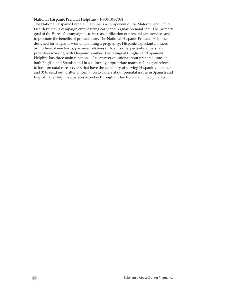#### **National Hispanic Prenatal Helpline** – 1-800-504-7081

The National Hispanic Prenatal Helpline is a component of the Maternal and Child Health Bureau's campaign emphasizing early and regular prenatal care. The primary goal of the Bureau's campaign is to increase utilization of prenatal care services and to promote the benefits of prenatal care. The National Hispanic Prenatal Helpline is designed for Hispanic women planning a pregnancy; Hispanic expectant mothers or mothers of newborns; partners, relatives or friends of expectant mothers; and providers working with Hispanic families. The bilingual (English and Spanish) Helpline has three main functions: 1) to answer questions about prenatal issues in both English and Spanish and in a culturally appropriate manner; 2) to give referrals to local prenatal care services that have the capability of serving Hispanic consumers; and 3) to send out written information to callers about prenatal issues in Spanish and English. The Helpline operates Monday through Friday from 9 a.m. to 6 p.m. EST.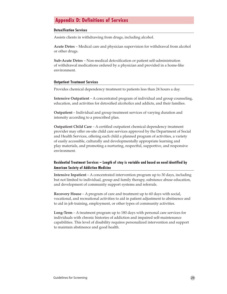## **Appendix D: Definitions of Services**

#### **Detoxification Services**

Assists clients in withdrawing from drugs, including alcohol.

**Acute Detox** – Medical care and physician supervision for withdrawal from alcohol or other drugs.

**Sub-Acute Detox** – Non-medical detoxification or patient self-administration of withdrawal medications ordered by a physician and provided in a home-like environment.

#### **Outpatient Treatment Services**

Provides chemical dependency treatment to patients less than 24 hours a day.

**Intensive Outpatient** – A concentrated program of individual and group counseling, education, and activities for detoxified alcoholics and addicts, and their families.

**Outpatient** – Individual and group treatment services of varying duration and intensity according to a prescribed plan.

**Outpatient Child Care** – A certified outpatient chemical dependency treatment provider may offer on-site child care services approved by the Department of Social and Health Services, offering each child a planned program of activities, a variety of easily accessible, culturally and developmentally appropriate learning and play materials, and promoting a nurturing, respectful, supportive, and responsive environment.

## **Residential Treatment Services – Length of stay is variable and based on need identified by American Society of Addiction Medicine**

**Intensive Inpatient** – A concentrated intervention program up to 30 days, including but not limited to individual, group and family therapy, substance abuse education, and development of community support systems and referrals.

**Recovery House** – A program of care and treatment up to 60 days with social, vocational, and recreational activities to aid in patient adjustment to abstinence and to aid in job training, employment, or other types of community activities.

**Long-Term** – A treatment program up to 180 days with personal care services for individuals with chronic histories of addiction and impaired self-maintenance capabilities. This level of disability requires personalized intervention and support to maintain abstinence and good health.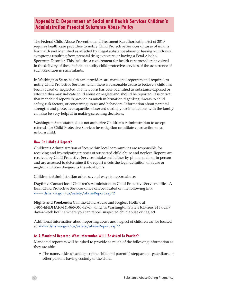## **Appendix E: Department of Social and Health Services Children's Administration Prenatal Substance Abuse Policy**

The Federal Child Abuse Prevention and Treatment Reauthorization Act of 2010 requires health care providers to notify Child Protective Services of cases of infants born with and identified as affected by illegal substance abuse or having withdrawal symptoms resulting from prenatal drug exposure, or having a Fetal Alcohol Spectrum Disorder. This includes a requirement for health care providers involved in the delivery of these infants to notify child protective services of the occurrence of such condition in such infants.

In Washington State, health care providers are mandated reporters and required to notify Child Protective Services when there is reasonable cause to believe a child has been abused or neglected. If a newborn has been identified as substance exposed or affected this may indicate child abuse or neglect and should be reported. It is critical that mandated reporters provide as much information regarding threats to child safety, risk factors, or concerning issues and behaviors. Information about parental strengths and protective capacities observed during your interactions with the family can also be very helpful in making screening decisions.

Washington State statute does not authorize Children's Administration to accept referrals for Child Protective Services investigation or initiate court action on an unborn child.

#### **How Do I Make A Report?**

Children's Administration offices within local communities are responsible for receiving and investigating reports of suspected child abuse and neglect. Reports are received by Child Protective Services Intake staff either by phone, mail, or in person and are assessed to determine if the report meets the legal definition of abuse or neglect and how dangerous the situation is.

Children's Administration offers several ways to report abuse:

**Daytime:** Contact local Children's Administration Child Protective Services office. A local Child Protective Services office can be located on the following link: www.dshs.wa.gov/ca/safety/abuseReport.asp?2

**Nights and Weekends:** Call the Child Abuse and Neglect Hotline at 1-866-ENDHARM (1-866-363-4276), which is Washington State's toll-free, 24 hour, 7 day-a-week hotline where you can report suspected child abuse or neglect.

Additional information about reporting abuse and neglect of children can be located at: www.dshs.wa.gov/ca/safety/abuseReport.asp?2

### **As A Mandated Reporter, What Information Will I Be Asked To Provide?**

Mandated reporters will be asked to provide as much of the following information as they are able:

• The name, address, and age of the child and parent(s) stepparents, guardians, or other persons having custody of the child.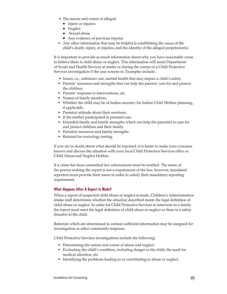- The nature and extent of alleged:
	- **Injury or injuries**
	- $\blacksquare$  Neglect
	- $S$ exual abuse
	- Any evidence of previous injuries
- Any other information that may be helpful in establishing the cause of the child's death, injury, or injuries, and the identity of the alleged perpetrator(s).

It is important to provide as much information about why you have reasonable cause to believe there is child abuse or neglect. This information will assist Department of Social and Health Services at intake or during the course of a Child Protective Services investigation if the case screens in. Examples include:

- Issues, i.e., substance use, mental health that may impact a child's safety.
- Parents' resources and strengths that can help the parents' care for and protect the children.
- Parents' response to interventions, etc.
- Names of family members.
- Whether the child may be of Indian ancestry for Indian Child Welfare planning, if applicable.
- Parent(s) attitude about their newborn.
- If the mother participated in prenatal care.
- Extended family and family strengths which can help the parent(s) to care for and protect children and their family.
- Parent(s) resources and family strengths.
- Rational for toxicology testing.

If you are in doubt about what should be reported, it is better to make your concerns known and discuss the situation with your local Child Protective Services office or Child Abuse and Neglect Hotline.

If a crime has been committed law enforcement must be notified. The name of the person making the report is not a requirement of the law, however, mandated reporters must provide their name in order to satisfy their mandatory reporting requirement.

## **What Happens After A Report Is Made?**

When a report of suspected child abuse or neglect is made, Children's Administration intake staff determines whether the situation described meets the legal definition of child abuse or neglect. In order for Child Protective Services to intervene in a family the report must meet the legal definition of child abuse or neglect or there is a safety threat(s) to the child.

Referrals which are determined to contain sufficient information may be assigned for investigation or other community response.

Child Protective Services investigations include the following:

- Determining the nature and extent of abuse and neglect.
- Evaluating the child's condition, including danger to the child, the need for medical attention, etc.
- Identifying the problems leading to or contributing to abuse or neglect.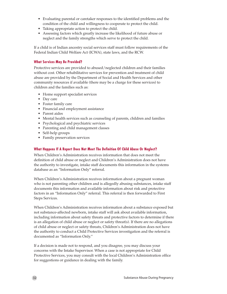- Evaluating parental or caretaker responses to the identified problems and the condition of the child and willingness to cooperate to protect the child.
- • Taking appropriate action to protect the child.
- • Assessing factors which greatly increase the likelihood of future abuse or neglect and the family strengths which serve to protect the child.

If a child is of Indian ancestry social services staff must follow requirements of the Federal Indian Child Welfare Act (ICWA), state laws, and the RCW.

### **What Services May Be Provided?**

Protective services are provided to abused/neglected children and their families without cost. Other rehabilitative services for prevention and treatment of child abuse are provided by the Department of Social and Health Services and other community resources if available (there may be a charge for these services) to children and the families such as:

- Home support specialist services
- Day care
- • Foster family care
- • Financial and employment assistance
- Parent aides
- Mental health services such as counseling of parents, children and families
- Psychological and psychiatric services
- Parenting and child management classes
- Self-help groups
- Family preservation services

## **What Happens If A Report Does Not Meet The Definition Of Child Abuse Or Neglect?**

When Children's Administration receives information that does not meet the definition of child abuse or neglect and Children's Administration does not have the authority to investigate, intake staff documents this information in the systems database as an "Information Only" referral.

When Children's Administration receives information about a pregnant woman who is not parenting other children and is allegedly abusing substances, intake staff documents this information and available information about risk and protective factors in an "Information Only" referral. This referral is then forwarded to First Steps Services.

When Children's Administration receives information about a substance exposed but not substance-affected newborn, intake staff will ask about available information, including information about safety threats and protective factors to determine if there is an allegation of child abuse or neglect or safety threat(s). If there are no allegations of child abuse or neglect or safety threats, Children's Administration does not have the authority to conduct a Child Protective Services investigation and the referral is documented as "Information Only."

If a decision is made not to respond, and you disagree, you may discuss your concerns with the Intake Supervisor. When a case is not appropriate for Child Protective Services, you may consult with the local Children's Administration office for suggestions or guidance in dealing with the family.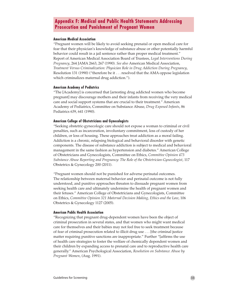## **Appendix F: Medical and Public Health Statements Addressing Prosecution and Punishment of Pregnant Women**

#### **American Medical Association**

"Pregnant women will be likely to avoid seeking prenatal or open medical care for fear that their physician's knowledge of substance abuse or other potentially harmful behavior could result in a jail sentence rather than proper medical treatment." Report of American Medical Association Board of Trustees, *Legal Interventions During Pregnancy*, 264 JAMA 2663, 267 (1990). *See also* American Medical Association, *Treatment Versus Criminalization: Physician Role in Drug Addiction During Pregnancy*, Resolution 131 (1990) ("therefore be it . . . resolved that the AMA oppose legislation which criminalizes maternal drug addiction.").

#### **American Academy of Pediatrics**

"The [Academy] is concerned that [arresting drug addicted women who become pregnant] may discourage mothers and their infants from receiving the very medical care and social support systems that are crucial to their treatment." American Academy of Pediatrics, Committee on Substance Abuse, *Drug Exposed Infants*, 86 Pediatrics 639, 641 (1990).

#### **American College of Obstetricians and Gynecologists**

"Seeking obstetric-gynecologic care should not expose a woman to criminal or civil penalties, such as incarceration, involuntary commitment, loss of custody of her children, or loss of housing. These approaches treat addiction as a moral failing. Addiction is a chronic, relapsing biological and behavioral disorder with genetic components. The disease of substance addiction is subject to medical and behavioral management in the same fashion as hypertension and diabetes." American College of Obstetricians and Gynecologists, Committee on Ethics, *Committee Opinion 473 Substance Abuse Reporting and Pregnancy: The Role of the Obstetrician-Gynecologist*, 117 Obstetrics & Gynecology 200 (2011).

"Pregnant women should not be punished for adverse perinatal outcomes. The relationship between maternal behavior and perinatal outcome is not fully understood, and punitive approaches threaten to dissuade pregnant women from seeking health care and ultimately undermine the health of pregnant women and their fetuses." American College of Obstetricians and Gynecologists, Committee on Ethics, *Committee Opinion 321 Maternal Decision Making, Ethics and the Law*, 106 Obstetrics & Gynecology 1127 (2005).

#### **American Public Health Association**

"Recognizing that pregnant drug-dependent women have been the object of criminal prosecution in several states, and that women who might want medical care for themselves and their babies may not feel free to seek treatment because of fear of criminal prosecution related to illicit drug use . . . [the criminal justice matter requiring punitive sanctions are inappropriate." Further "[affirms the use of health care strategies to foster the welfare of chemically dependent women and their children by expanding access to prenatal care and to reproductive health care generally." American Psychological Association, *Resolution on Substance Abuse by Pregnant Women*, (Aug. 1991).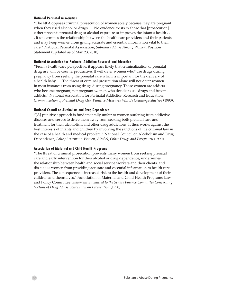#### **National Perinatal Association**

"The NPA opposes criminal prosecution of women solely because they are pregnant when they used alcohol or drugs . . . No evidence exists to show that [prosecution] either prevents prenatal drug or alcohol exposure or improves the infant's health . . . It undermines the relationship between the health care providers and their patients and may keep women from giving accurate and essential information vital to their care." National Perinatal Association, *Substance Abuse Among Women*, Position Statement (updated as of Mar. 23, 2010).

#### **National Association for Perinatal Addiction Research and Education**

"From a health-care perspective, it appears likely that criminalization of prenatal drug use will be counterproductive. It will deter women who<sup>o</sup> use drugs during pregnancy from seeking the prenatal care which is important for the delivery of a health baby . . . The threat of criminal prosecution alone will not deter women in most instances from using drugs during pregnancy. These women are addicts who become pregnant, not pregnant women who decide to use drugs and become addicts." National Association for Perinatal Addiction Research and Education. *Criminalization of Prenatal Drug Use: Punitive Measures Will Be Counterproductive* (1990).

#### **National Council on Alcoholism and Drug Dependence**

"[A] punitive approach is fundamentally unfair to women suffering from addictive diseases and serves to drive them away from seeking both prenatal care and treatment for their alcoholism and other drug addictions. It thus works against the best interests of infants and children by involving the sanctions of the criminal law in the case of a health and medical problem." National Council on Alcoholism and Drug Dependence, *Policy Statement: Women, Alcohol, Other Drugs and Pregnancy* (1990).

### **Association of Maternal and Child Health Programs**

"The threat of criminal prosecution prevents many women from seeking prenatal care and early intervention for their alcohol or drug dependence, undermines the relationship between health and social service workers and their clients, and dissuades women from providing accurate and essential information to health care providers. The consequence is increased risk to the health and development of their children and themselves." Association of Maternal and Child Health Programs Law and Policy Committee, *Statement Submitted to the Senate Finance Committee Concerning Victims of Drug Abuse: Resolution on Prosecution* (1990).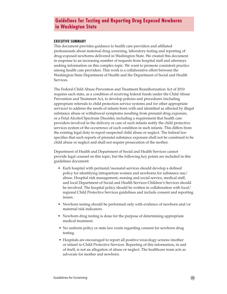## **Guidelines for Testing and Reporting Drug Exposed Newborns in Washington State**

#### **EXECUTIVE SUMMARY**

This document provides guidance to health care providers and affiliated professionals about maternal drug screening, laboratory testing and reporting of drug-exposed newborns delivered in Washington State. We created this document in response to an increasing number of requests from hospital staff and attorneys seeking information on this complex topic. We want to promote consistent practice among health care providers. This work is a collaborative effort between the Washington State Department of Health and the Department of Social and Health Services.

The Federal Child Abuse Prevention and Treatment Reauthorization Act of 2010 requires each state, as a condition of receiving federal funds under the Child Abuse Prevention and Treatment Act, to develop policies and procedures (including appropriate referrals to child protection service systems and for other appropriate services) to address the needs of infants born with and identified as affected by illegal substance abuse or withdrawal symptoms resulting from prenatal drug exposure, or a Fetal Alcohol Spectrum Disorder, including a requirement that health care providers involved in the delivery or care of such infants notify the child protective services system of the occurrence of such condition in such infants. This differs from the existing legal duty to report suspected child abuse or neglect. The federal law specifies that such reports of prenatal substance exposure shall not be construed to be child abuse or neglect and shall not require prosecution of the mother.

Department of Health and Department of Social and Health Services cannot provide legal counsel on this topic, but the following key points are included in this guidelines document:

- Each hospital with perinatal/neonatal services should develop a defined policy for identifying intrapartum women and newborns for substance use/ abuse. Hospital risk management, nursing and social service, medical staff, and local Department of Social and Health Services Children's Services should be involved. The hospital policy should be written in collaboration with local/ regional Child Protective Services guidelines and include consent and reporting issues.
- Newborn testing should be performed only with evidence of newborn and/or maternal risk indicators.
- Newborn drug testing is done for the purpose of determining appropriate medical treatment.
- No uniform policy or state law exists regarding consent for newborn drug testing.
- Hospitals are encouraged to report all positive toxicology screens (mother or infant) to Child Protective Services. Reporting of this information, in and of itself, is not an allegation of abuse or neglect. The healthcare team acts as advocate for mother and newborn.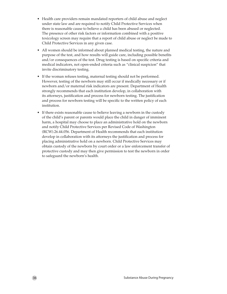- Health care providers remain mandated reporters of child abuse and neglect under state law and are required to notify Child Protective Services when there is reasonable cause to believe a child has been abused or neglected. The presence of other risk factors or information combined with a positive toxicology screen may require that a report of child abuse or neglect be made to Child Protective Services in any given case.
- All women should be informed about planned medical testing, the nature and purpose of the test, and how results will guide care, including possible benefits and/or consequences of the test. Drug testing is based on specific criteria and medical indicators, not open-ended criteria such as "clinical suspicion" that invite discriminatory testing.
- If the woman refuses testing, maternal testing should not be performed. However, testing of the newborn may still occur if medically necessary or if newborn and/or maternal risk indicators are present. Department of Health strongly recommends that each institution develop, in collaboration with its attorneys, justification and process for newborn testing. The justification and process for newborn testing will be specific to the written policy of each institution.
- If there exists reasonable cause to believe leaving a newborn in the custody of the child's parent or parents would place the child in danger of imminent harm, a hospital may choose to place an administrative hold on the newborn and notify Child Protective Services per Revised Code of Washington (RCW).26.44.056. Department of Health recommends that each institution develop in collaboration with its attorneys the justification and process for placing administrative hold on a newborn. Child Protective Services may obtain custody of the newborn by court order or a law enforcement transfer of protective custody and may then give permission to test the newborn in order to safeguard the newborn's health.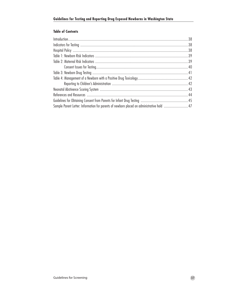## **Table of Contents**

| Sample Parent Letter: Information for parents of newborn placed on administrative hold  47 |  |
|--------------------------------------------------------------------------------------------|--|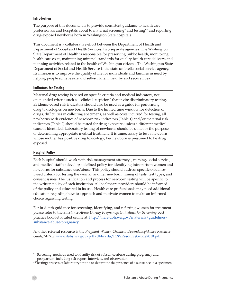#### **Introduction**

The purpose of this document is to provide consistent guidance to health care professionals and hospitals about to maternal screening\* and testing\*\* and reporting drug-exposed newborns born in Washington State hospitals.

This document is a collaborative effort between the Department of Health and Department of Social and Health Services, two separate agencies. The Washington State Department of Health is responsible for preserving public health, monitoring health care costs, maintaining minimal standards for quality health care delivery, and planning activities related to the health of Washington citizens. The Washington State Department of Social and Health Service is the state umbrella social service agency. Its mission is to improve the quality of life for individuals and families in need by helping people achieve safe and self-sufficient, healthy and secure lives.

#### **Indicators for Testing**

Maternal drug testing is based on specific criteria and medical indicators, not open-ended criteria such as "clinical suspicion" that invite discriminatory testing. Evidence-based risk indicators should also be used as a guide for performing drug toxicologies on newborns. Due to the limited time window for detection of drugs, difficulties in collecting specimens, as well as costs incurred for testing, all newborns with evidence of newborn risk indicators (Table 1) and/or maternal risk indicators (Table 2) should be tested for drug exposure, unless a different medical cause is identified. Laboratory testing of newborns should be done for the purpose of determining appropriate medical treatment. It is unnecessary to test a newborn whose mother has positive drug toxicology; her newborn is presumed to be drug exposed.

### **Hospital Policy**

Each hospital should work with risk management attorneys, nursing, social service, and medical staff to develop a defined policy for identifying intrapartum women and newborns for substance use/abuse. This policy should address specific evidencebased criteria for testing the woman and her newborn, timing of tests, test types, and consent issues. The justification and process for newborn testing will be specific to the written policy of each institution. All healthcare providers should be informed of the policy and educated in its use. Health care professionals may need additional education regarding how to approach and motivate women to make an informed choice regarding testing.

For in-depth guidance for screening, identifying, and referring women for treatment please refer to the *Substance Abuse During Pregnancy: Guidelines for Screening* best practice booklet located online at: [http://here.doh.wa.gov/materials/guidelines](http://here.doh.wa.gov/materials/guidelines-substance-abuse-pregnancy)[substance-abuse-pregnancy](http://here.doh.wa.gov/materials/guidelines-substance-abuse-pregnancy)

Another referral resource is the *Pregnant Women Chemical Dependency/Abuse Resource Guide/Matrix*: www.dshs.wa.gov/pdf/dbhr/da/PPWResourceGuide2010.pdf

Screening: methods used to identify risk of substance abuse during pregnancy and postpartum, including self-report, interview, and observation.

<sup>\*\*</sup>Testing: process of laboratory testing to determine the presence of a substance in a specimen.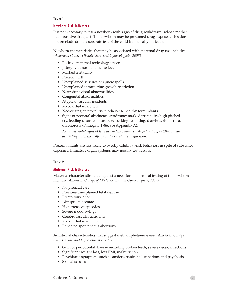#### **Table 1**

#### **Newborn Risk Indicators**

It is not necessary to test a newborn with signs of drug withdrawal whose mother has a positive drug test. This newborn may be presumed drug-exposed. This does not preclude doing a separate test of the child if medically indicated.

Newborn characteristics that may be associated with maternal drug use include: *(American College Obstetricians and Gynecologists, 2008)*

- Positive maternal toxicology screen
- Jittery with normal glucose level
- Marked irritability
- Preterm birth
- • Unexplained seizures or apneic spells
- Unexplained intrauterine growth restriction
- Neurobehavioral abnormalities
- Congenital abnormalities
- • Atypical vascular incidents
- • Myocardial infarction
- Necrotizing enterocolitis in otherwise healthy term infants
- Signs of neonatal abstinence syndrome: marked irritability, high pitched cry, feeding disorders, excessive sucking, vomiting, diarrhea, rhinorrhea, diaphoresis (Finnegan, 1986; see Appendix A):

*Note: Neonatal signs of fetal dependence may be delayed as long as 10–14 days, depending upon the half-life of the substance in question.*

Preterm infants are less likely to overtly exhibit at-risk behaviors in spite of substance exposure. Immature organ systems may modify test results.

#### **Table 2**

#### **Maternal Risk Indicators**

Maternal characteristics that suggest a need for biochemical testing of the newborn include: *(American College of Obstetricians and Gynecologists, 2008)* 

- No prenatal care
- Previous unexplained fetal demise
- • Precipitous labor
- • Abruptio placentae
- Hypertensive episodes
- Severe mood swings
- Cerebrovascular accidents
- Myocardial infarction
- Repeated spontaneous abortions

Additional characteristics that suggest methamphetamine use: *(American College Obstetricians and Gynecologists, 2011)*

- Gum or periodontal disease including broken teeth, severe decay, infections
- Significant weight loss, low BMI, malnutrition
- Psychiatric symptoms such as anxiety, panic, hallucinations and psychosis
- Skin abscesses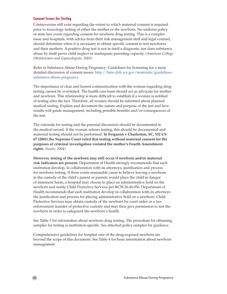#### **Consent Issues for Testing**

Controversies still exist regarding the extent to which maternal consent is required prior to toxicology testing of either the mother or the newborn. No uniform policy or state law exists regarding consent for newborn drug testing. This is a complex issue and hospitals, with advice from their risk management staff and legal counsel, should determine when it is necessary to obtain specific consent to test newborns and their mothers. A positive drug test is not in itself a diagnosis, nor does substance abuse by itself prove child neglect or inadequate parenting capacity. *(American College Obstetricians and Gynecologists, 2005)*

Refer to Substance Abuse During Pregnancy: Guidelines for Screening for a more detailed discussion of consent issues: http://here.doh.wa.gov/materials/guidelinessubstance-abuse-pregnancy

The importance of clear and honest communication with the woman regarding drug testing cannot be overstated. The health care team should act as advocate for mother and newborn. This relationship is more difficult to establish if a woman is notified of testing after the fact. Therefore, all women should be informed about planned medical testing. Explain and document the nature and purpose of the test and how results will guide management, including possible benefits and/or consequences of the test.

The rationale for testing and the parental discussion should be documented in the medical record. If the woman refuses testing, this should be documented and maternal testing should not be performed. **In Ferguson v Charleston, SC, 532 US 67 (2001) the Supreme Court ruled that testing without maternal consent for the purposes of criminal investigation violated the mother's Fourth Amendment rights.** *(Lester, 2004)*

**However, testing of the newborn may still occur if newborn and/or maternal risk indicators are present.** Department of Health strongly recommends that each institution develop, in collaboration with its attorneys, justification and process for newborn testing. If there exists reasonable cause to believe leaving a newborn in the custody of the child's parent or parents would place the child in danger of imminent harm, a hospital may choose to place an administrative hold on the newborn and notify Child Protective Services per RCW.26.44.056. Department of Health recommends that each institution develop in collaboration with its attorneys the justification and process for placing administrative hold on a newborn. Child Protective Services may obtain custody of the newborn by court order or a law enforcement transfer of protective custody and may then give permission to test the newborn in order to safeguard the newborn's health.

See Table 3 for information about newborn drug testing. The procedure for obtaining samples for testing is institution-specific. See attached policy samples for guidance.

Comprehensive guidelines for hospital care of the drug-exposed newborn are beyond the scope of this document. See Table 4 for basic information about newborn management.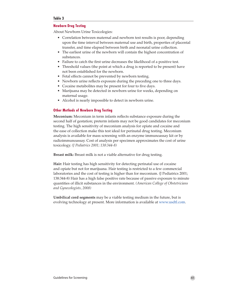### **Table 3**

### **Newborn Drug Testing**

About Newborn Urine Toxicologies:

- Correlation between maternal and newborn test results is poor, depending upon the time interval between maternal use and birth, properties of placental transfer, and time elapsed between birth and neonatal urine collection.
- The earliest urine of the newborn will contain the highest concentration of substances.
- Failure to catch the first urine decreases the likelihood of a positive test.
- Threshold values (the point at which a drug is reported to be present) have not been established for the newborn.
- Fetal effects cannot be prevented by newborn testing.
- Newborn urine reflects exposure during the preceding one to three days.
- Cocaine metabolites may be present for four to five days.
- Marijuana may be detected in newborn urine for weeks, depending on maternal usage.
- Alcohol is nearly impossible to detect in newborn urine.

#### **Other Methods of Newborn Drug Testing**

**Meconium:** Meconium in term infants reflects substance exposure during the second half of gestation; preterm infants may not be good candidates for meconium testing. The high sensitivity of meconium analysis for opiate and cocaine and the ease of collection make this test ideal for perinatal drug testing. Meconium analysis is available for mass screening with an enzyme immunoassay kit or by radioimmunoassay. Cost of analysis per specimen approximates the cost of urine toxicology. *(J Pediatrics 2001; 138:344-8)*

**Breast milk:** Breast milk is not a viable alternative for drug testing.

**Hair:** Hair testing has high sensitivity for detecting perinatal use of cocaine and opiate but not for marijuana. Hair testing is restricted to a few commercial laboratories and the cost of testing is higher than for meconium. (J Pediatrics 2001; 138:344-8) Hair has a high false positive rate because of passive exposure to minute quantities of illicit substances in the environment. *(American College of Obstetricians and Gynecologists, 2008)* 

**Umbilical cord segments** may be a viable testing medium in the future, but is evolving technology at present. More information is available at www.usdtl.com.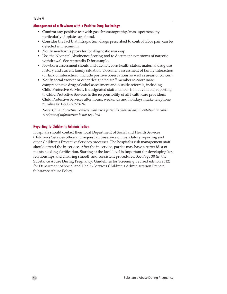#### **Table 4**

### **Management of a Newborn with a Positive Drug Toxicology**

- Confirm any positive test with gas chromatography/mass spectroscopy particularly if opiates are found.
- • Consider the fact that intrapartum drugs prescribed to control labor pain can be detected in meconium.
- Notify newborn's provider for diagnostic work-up.
- Use the Neonatal Abstinence Scoring tool to document symptoms of narcotic withdrawal. See Appendix D for sample.
- Newborn assessment should include newborn health status, maternal drug use history and current family situation. Document assessment of family interaction (or lack of interaction). Include positive observations as well as areas of concern.
- Notify social worker or other designated staff member to coordinate comprehensive drug/alcohol assessment and outside referrals, including Child Protective Services. If designated staff member is not available, reporting to Child Protective Services is the responsibility of all health care providers. Child Protective Services after hours, weekends and holidays intake telephone number is: 1-800-562-5624.

*Note: Child Protective Services may use a patient's chart as documentation in court. A release of information is not required.*

## **Reporting to Children's Administration**

Hospitals should contact their local Department of Social and Health Services Children's Services office and request an in-service on mandatory reporting and other Children's Protective Services processes. The hospital's risk management staff should attend the in-service. After the in-service, parties may have a better idea of points needing clarification. Starting at the local level is important for developing key relationships and ensuring smooth and consistent procedures. See Page 30 (in the Substance Abuse During Pregnancy: Guidelines for Screening, revised edition 2012) for Department of Social and Health Services Children's Administration Prenatal Substance Abuse Policy.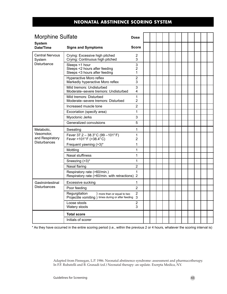## **NEONATAL ABSTINENCE SCORING SYSTEM**

| <b>Morphine Sulfate</b>           |                                                                                                    | <b>Dose</b>              |  |  |  |  |  |  |
|-----------------------------------|----------------------------------------------------------------------------------------------------|--------------------------|--|--|--|--|--|--|
| <b>System</b><br><b>Date/Time</b> | <b>Signs and Symptoms</b>                                                                          | <b>Score</b>             |  |  |  |  |  |  |
| <b>Central Nervous</b><br>System  | Crying: Excessive high pitched<br>Crying: Continuous high pitched                                  | 2<br>3                   |  |  |  |  |  |  |
| Disturbance                       | Sleeps <1 hour<br>Sleeps <2 hours after feeding<br>Sleeps <3 hours after feeding                   | 3<br>$\overline{2}$<br>1 |  |  |  |  |  |  |
|                                   | Hyperactive Moro reflex<br>Markedly hyperactive Moro reflex                                        | $\overline{2}$<br>3      |  |  |  |  |  |  |
|                                   | Mild tremors: Undisturbed<br>Moderate-severe tremors: Undisturbed                                  | 3<br>4                   |  |  |  |  |  |  |
|                                   | Mild tremors: Disturbed<br>Moderate-severe tremors: Disturbed                                      | 1<br>$\overline{2}$      |  |  |  |  |  |  |
|                                   | Increased muscle tone                                                                              | $\overline{2}$           |  |  |  |  |  |  |
|                                   | Excoriation (specify area)                                                                         | 1                        |  |  |  |  |  |  |
|                                   | Myoclonic Jerks                                                                                    | 3                        |  |  |  |  |  |  |
|                                   | Generalized convulsions                                                                            | 5                        |  |  |  |  |  |  |
| Metabolic,                        | Sweating                                                                                           | 1                        |  |  |  |  |  |  |
| Vasomotor,<br>and Respiratory     | Fever $37.2 - 38.3$ °C (99 - 101°F)<br>Fever >101°F (>38.4°C)                                      | 1<br>2                   |  |  |  |  |  |  |
| <b>Disturbances</b>               | Frequent yawning (>3)*                                                                             | 1                        |  |  |  |  |  |  |
|                                   | Mottling                                                                                           | 1                        |  |  |  |  |  |  |
|                                   | Nasal stuffiness                                                                                   | 1                        |  |  |  |  |  |  |
|                                   | Sneezing (>3)*                                                                                     | $\mathbf{1}$             |  |  |  |  |  |  |
|                                   | Nasal flaring                                                                                      | $\overline{2}$           |  |  |  |  |  |  |
|                                   | Respiratory rate (>60/min.)<br>Respiratory rate (>60/min. with retractions)                        | 1<br>$\overline{2}$      |  |  |  |  |  |  |
| Gastrointestinal                  | Excessive sucking                                                                                  | 1                        |  |  |  |  |  |  |
| <b>Disturbances</b>               | Poor feeding                                                                                       | $\overline{2}$           |  |  |  |  |  |  |
|                                   | Regurgitation<br>) more than or equal to two<br>Projectile vomiting) times during or after feeding | $\overline{2}$<br>3      |  |  |  |  |  |  |
|                                   | Loose stools<br>Watery stools                                                                      | $\overline{2}$<br>3      |  |  |  |  |  |  |
|                                   | <b>Total score</b>                                                                                 |                          |  |  |  |  |  |  |
|                                   | Initials of scorer                                                                                 |                          |  |  |  |  |  |  |

\* As they have occurred in the entire scoring period (i.e., within the previous 2 or 4 hours, whatever the scoring interval is)

Adapted from Finnegan, L.P. 1986. Neonatal abstinence syndrome: assessment and pharmacotherapy. In F.F. Rubatelli and B. Granadi (ed.) Neonatal therapy: an update. Exerpta Medica, NY.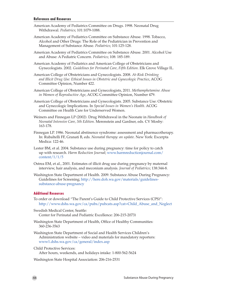#### **References and Resources**

- American Academy of Pediatrics Committee on Drugs. 1998. Neonatal Drug Withdrawal. *Pediatrics*; 101:1079-1088.
- American Academy of Pediatrics Committee on Substance Abuse. 1998. Tobacco, Alcohol and Other Drugs: The Role of the Pediatrician in Prevention and Management of Substance Abuse. *Pediatrics*; 101:125-128.
- American Academy of Pediatrics Committee on Substance Abuse. 2001. Alcohol Use and Abuse: A Pediatric Concern. *Pediatrics*; 108: 185-189.
- American Academy of Pediatrics and American College of Obstetricians and Gynecologists. 2002. *Guidelines for Perinatal Care, Fifth Edition*. Elk Grove Village IL.
- American College of Obstetricians and Gynecologists. 2008. *At-Risk Drinking and Illicit Drug Use: Ethical Issues in Obstetric and Gynecologic Practice*, ACOG Committee Opinion, Number 422.
- American College of Obstetricians and Gynecologists, 2011. *Methamphetamine Abuse in Women of Reproductive Age*, ACOG Committee Opinion, Number 479.
- American College of Obstetricians and Gynecologists. 2005. Substance Use: Obstetric and Gynecologic Implications. In *Special Issues in Women's Health*. ACOG Committee on Health Care for Underserved Women.
- Weiners and Finnegan LP (2002). Drug Withdrawal in the Neonate in *Handbook of Neonatal Intensive Care, 5th Edition*. Merenstein and Gardner, eds. CV Mosby: 163-178.
- Finnegan LP. 1986. Neonatal abstinence syndrome: assessment and pharmacotherapy. In: Rubaltelli FF, Granati B, eds. *Neonatal therapy: an update.* New York: Excerpta Medica: 122-46.
- Lester BM, et al. 2004. Substance use during pregnancy: time for policy to catch up with research. *Harm Reduction Journal*; www.harmreductionjournal.com/ content/1/1/5
- Ostrea EM, et al., 2001. Estimates of illicit drug use during pregnancy by maternal interview, hair analysis, and meconium analysis. *Journal of Pediatrics*; 138:344-8.
- Washington State Department of Health. 2009. Substance Abuse During Pregnancy: Guidelines for Screening; http://here.doh.wa.gov/materials/guidelinessubstance-abuse-pregnancy

#### **Additional Resources**

- To order or download "The Parent's Guide to Child Protective Services (CPS)": [http://www.dshs.wa.gov/ca/pubs/pubcats.asp?cat=Child\\_Abuse\\_and\\_Neglect](http://www.dshs.wa.gov/ca/pubs/pubcats.asp?cat=Child_Abuse_and_Neglect )
- Swedish Medical Center, Seattle: Center for Perinatal and Pediatric Excellence: 206-215-2073)
- Washington State Department of Health, Office of Healthy Communities: 360-236-3563
- Washington State Department of Social and Health Services Children's Administration website – video and materials for mandatory reporters: <www1.dshs.wa.gov/ca/general/index.asp>

Child Protective Services:

After hours, weekends, and holidays intake: 1-800-562-5624

Washington State Hospital Association: 206-216-2531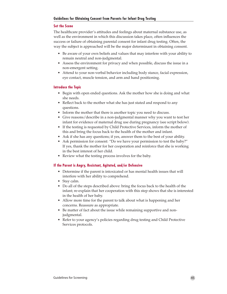### **Set the Scene**

The healthcare provider's attitudes and feelings about maternal substance use, as well as the environment in which this discussion takes place, often influences the success or failure of obtaining parental consent for infant drug testing. Often, the way the subject is approached will be the major determinant in obtaining consent.

- • Be aware of your own beliefs and values that may interfere with your ability to remain neutral and non-judgmental.
- Assess the environment for privacy and when possible, discuss the issue in a non-emergent setting.
- Attend to your non-verbal behavior including body stance, facial expression, eye contact, muscle tension, and arm and hand positioning.

#### **Introduce the Topic**

- Begin with open ended questions. Ask the mother how she is doing and what she needs.
- Reflect back to the mother what she has just stated and respond to any questions.
- Inform the mother that there is another topic you need to discuss.
- • Give reasons/describe in a non-judgmental manner why you want to test her infant for evidence of maternal drug use during pregnancy (see script below).
- If the testing is requested by Child Protective Services, inform the mother of this and bring the focus back to the health of the mother and infant.
- Ask if she has any questions; if yes, answer them to the best of your ability.
- Ask permission for consent: "Do we have your permission to test the baby?" If yes, thank the mother for her cooperation and reinforce that she is working in the best interest of her child.
- Review what the testing process involves for the baby.

### **If the Parent is Angry, Resistant, Agitated, and/or Defensive**

- Determine if the parent is intoxicated or has mental health issues that will interfere with her ability to comprehend.
- Stay calm.
- Do all of the steps described above: bring the focus back to the health of the infant; re-explain that her cooperation with this step shows that she is interested in the health of her baby.
- Allow more time for the parent to talk about what is happening and her concerns. Reassure as appropriate.
- Be matter of fact about the issue while remaining supportive and nonjudgmental.
- Refer to your agency's policies regarding drug testing and Child Protective Services protocols.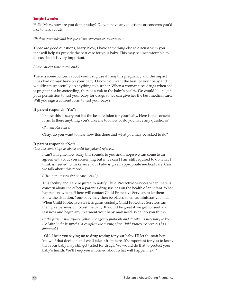#### **Sample Scenario:**

Hello Mary, how are you doing today? Do you have any questions or concerns you'd like to talk about?

#### *(Patient responds and her questions concerns are addressed.)*

Those are good questions, Mary. Now, I have something else to discuss with you that will help us provide the best care for your baby. This may be uncomfortable to discuss but it is very important.

#### *(Give patient time to respond.)*

There is some concern about your drug use during this pregnancy and the impact it has had or may have on your baby. I know you want the best for your baby and wouldn't purposefully do anything to hurt her. When a woman uses drugs when she is pregnant or breastfeeding, there is a risk to the baby's health. We would like to get your permission to test your baby for drugs so we can give her the best medical care. Will you sign a consent form to test your baby?

#### **If parent responds "Yes":**

I know this is scary but it's the best decision for your baby. Here is the consent form. Is there anything you'd like me to know or do you have any questions?

*(Patient Response)*

Okay, do you want to hear how this done and what you may be asked to do?

#### **If parent responds "No":**

*(Use the same steps as above until the patient refuses.)* 

I can't imagine how scary this sounds to you and I hope we can come to an agreement about you consenting but if we can't I am still required to do what I think is needed to make sure your baby is given appropriate medical care. Can we talk about this more?

*(Client nonresponsive or says "No.")*

This facility and I are required to notify Child Protective Services when there is concern about the effect a parent's drug use has on the health of an infant. What happens now is staff here will contact Child Protective Services to let them know the situation. Your baby may then be placed on an administrative hold. When Child Protective Services gains custody, Child Protective Services can then give permission to test the baby. It would be great if we get consent and test now and begin any treatment your baby may need. What do you think?

*(If the patient still refuses, follow the agency protocols and do what is necessary to keep the baby in the hospital and complete the testing after Child Protective Services has approved.)*

"OK, I hear you saying no to drug testing for your baby. I'll let the staff here know of that decision and we'll take it from here. It's important for you to know that your baby may still get tested for drugs. We would do that to protect your baby's health. We'll keep you informed about what will happen next."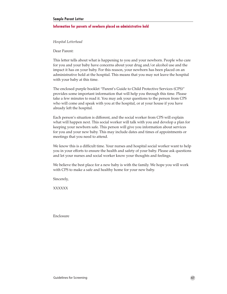#### **Sample Parent Letter**

#### **Information for parents of newborn placed on administrative hold**

#### *Hospital Letterhead*

Dear Parent:

This letter tells about what is happening to you and your newborn. People who care for you and your baby have concerns about your drug and/or alcohol use and the impact it has on your baby. For this reason, your newborn has been placed on an administrative hold at the hospital. This means that you may not leave the hospital with your baby at this time.

The enclosed purple booklet "Parent's Guide to Child Protective Services (CPS)" provides some important information that will help you through this time. Please take a few minutes to read it. You may ask your questions to the person from CPS who will come and speak with you at the hospital, or at your house if you have already left the hospital.

Each person's situation is different, and the social worker from CPS will explain what will happen next. This social worker will talk with you and develop a plan for keeping your newborn safe. This person will give you information about services for you and your new baby. This may include dates and times of appointments or meetings that you need to attend.

We know this is a difficult time. Your nurses and hospital social worker want to help you in your efforts to ensure the health and safety of your baby. Please ask questions and let your nurses and social worker know your thoughts and feelings.

We believe the best place for a new baby is with the family. We hope you will work with CPS to make a safe and healthy home for your new baby.

Sincerely,

XXXXXX

Enclosure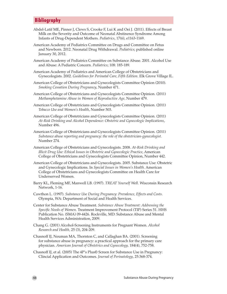## **Bibliography**

- Abdel-Latif ME, Pinner J, Clews S, Crooke F, Lui K and Oei J. (2011). Effects of Breast Milk on the Severity and Outcome of Neonatal Abstinence Syndrome Among Infants of Drug-Dependent Mothers. *Pediatrics*, 17(6), e1163-1169.
- American Academy of Pediatrics Committee on Drugs and Committee on Fetus and Newborn. 2012. Neonatal Drug Withdrawal. *Pediatrics*; published online January 30, 2012.
- American Academy of Pediatrics Committee on Substance Abuse. 2001. Alcohol Use and Abuse: A Pediatric Concern. *Pediatrics*; 108: 185-189.
- American Academy of Pediatrics and American College of Obstetricians and Gynecologists. 2002. *Guidelines for Perinatal Care, Fifth Edition*. Elk Grove Village IL.
- American College of Obstetricians and Gynecologists Committee Opinion (2010). *Smoking Cessation During Pregnancy*, Number 471.
- American College of Obstetricians and Gynecologists Committee Opinion. (2011) *Methamphetamine Abuse in Women of Reproductive Age,* Number 479.
- American College of Obstetricians and Gynecologists Committee Opinion. (2011) *Tobacco Use and Women's Health*, Number 503.
- American College of Obstetricians and Gynecologists Committee Opinion. (2011) *At-Risk Drinking and Alcohol Dependence: Obstetric and Gynecologic Implications*, Number 496.
- American College of Obstetricians and Gynecologists Committee Opinion. (2011) *Substance abuse reporting and pregnancy: the role of the obstetrician-gynecologist.* Number 274.
- American College of Obstetricians and Gynecologists. 2008. *At-Risk Drinking and Illicit Drug Use: Ethical Issues in Obstetric and Gynecologic Practice*, American College of Obstetricians and Gynecologists Committee Opinion, Number 442.
- American College of Obstetricians and Gynecologists. 2005. Substance Use: Obstetric and Gynecologic Implications. In *Special Issues in Women's Health*. American College of Obstetricians and Gynecologists Committee on Health Care for Underserved Women.
- Barry KL, Fleming MF, Manwell LB. (1997). *TREAT Yourself Well.* Wisconsin Research Network, 1-16.
- Cawthon L. (1997). *Substance Use During Pregnancy: Prevalence, Effects and Costs.* Olympia, WA: Department of Social and Health Services.
- Center for Substance Abuse Treatment. *Substance Abuse Treatment: Addressing the Specific Needs of Women.* Treatment Improvement Protocol (TIP) Series 51. HHS Publication No. (SMA) 09-4426. Rockville, MD: Substance Abuse and Mental Health Services Administration, 2009.
- Chang G. (2001) Alcohol-Screening Instruments for Pregnant Women. *Alcohol Research and Health,* 25 (3), 204-209.
- Chasnoff IJ, Neuman MA, Thornton C, and Callaghan BA. (2001). Screening for substance abuse in pregnancy: a practical approach for the primary care physician. *American Journal of Obstetrics and Gynecology,* 184(4), 752-758.
- Chasnoff IJ, et al. (2005) The 4P's Plus© Screen for Substance Use in Pregnancy: Clincial Application and Outcomes. *Journal of Perinatology*, 25:368-374.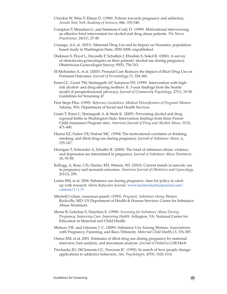- Chavkin W, Wise P, Elman D. (1998). Policies towards pregnancy and addiction, *Annals New York Academy of Sciences*, 846, 335-340.
- Compton P, Monahan G, and Simmons-Cody H. (1999). Motivational interviewing: an effective brief intervention for alcohol and drug abuse patients. *The Nurse Practitioner,* 24(11), 27-49.
- Creanga, AA, et. (2011). Maternal Drug Use and its Impact on Neonates: populationbased study in Washington State, 2000-2008, unpublished.
- Diekman S, Floyd L, Decoufle P, Schulkin J, Ebrahim S, Sokol R. (2000). A survey of obstetrician-gynecologists on their patients' alcohol use during pregnancy. Obstetrician-Gynecologist Survey, 95(5), 756-763.
- El-Mohandes A, et al. (2003). Prenatal Care Reduces the Impact of Illicit Drug Use on Perinatal Outcomes. *Journal of Perinatology 23,* 354-360.
- Ernst CC, Grant TM, Streissguth AP, Sampson PD. (1999). Intervention with highrisk alcohol- and drug-abusing mothers: II. 3-year findings from the Seattle model of paraprofessional advocacy. *Journal of Community Psychology*, 27(1), 19-38. Guidelines for Screening 47
- First Steps Plus. (1995). *Reference Guidelines: Medical Detoxification of Pregnant Women.* Yakima, WA: Department of Social and Health Services.
- Grant T, Ernst C, Streissguth A, & Stark K. (2005). Preventing alcohol and drug exposed births in Washington State: Intervention findings from three Parent-Child Assistance Program sites. *American Journal of Drug and Alcohol Abuse*, 31(3), 471-490.
- Hanna EZ, Faden VB, Dufour MC. (1994) The motivational correlates of drinking, smoking, and illicit drug use during pregnancy. *Journal of Substance Abuse,* 6, 155-167.
- Horrigan T, Schroeder A, Schaffer R. (2000). The triad of substance abuse, violence, and depression are interrelated in pregnancy. *Journal of Substance Abuse Treatment,* 18, 55-58.
- Kellogg, A, Rose, CH, Harms, RH, Watson, WJ. (2010). Current trends in narcotic use in pregnancy and neonatal outcomes. *American Journal of Obstetrics and Gynecology,*  201(3), 259.
- Lester BM, et al. 2004. Substance use during pregnancy: time for policy to catch up with research. *Harm Reduction Journal.* www.harmreductionjournal.com/ content/1/1/5
- Mitchell J (chair, consensus panel). (1993). *Pregnant, Substance-Using Women.*  Rockville, MD: US Department of Health & Human Services: Center for Substance Abuse Treatment.
- Morse B, Gehshan S, Hutchins E. (1998). *Screening for Substance Abuse During Pregnancy: Improving Care, Improving Health.* Arlington, VA: National Center for Education in Maternal and Child Health.
- Muhuri, P.K. and Gfroerer, J. C. (2009). Substance Use Among Women: Associations with Pregnancy, Parenting, and Race/Ethnicity. *Maternal Child Health*,13, 376-385.
- Ostrea EM, et al. 2001. Estimates of illicit drug use during pregnancy by maternal interview, hair analysis, and meconium analysis. *Journal of Pediatrics*;138:344-8.
- Prochaska JO, DiClemente CC, Norcross JC. (1992). In search of how people change: applications to addictive behaviors. *Am. Psychologist*, 47(9), 1102-1114.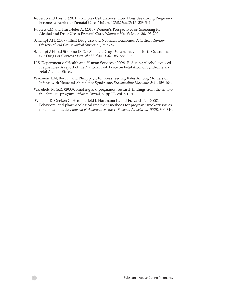- Robert S and Pies C. (2011). Complex Calculations: How Drug Use during Pregnancy Becomes a Barrier to Prenatal Care. *Maternal Child Health* 15, 333-341.
- Roberts CM and Huru-Jeter A. (2010). Women's Perspectives on Screening for Alcohol and Drug Use in Prenatal Care. *Women's Health issues,* 20,193-200.
- Schempf AH. (2007). Illicit Drug Use and Neonatal Outcomes: A Critical Review. *Obstetrical and Gynecological Survey* 62, 749-757.
- Schempf AH and Strobino D. (2008). Illicit Drug Use and Adverse Birth Outcomes: is it Drugs or Context? *Journal of Urban Health* 85, 858-872.
- U.S. Department o f Health and Human Services. (2009). Reducing Alcohol-exposed Pregnancies. A report of the National Task Force on Fetal Alcohol Syndrome and Fetal Alcohol Effect.
- Wachman EM, Byun J, and Philipp. (2010) Breastfeeding Rates Among Mothers of Infants with Neonatal Abstinence Syndrome. *Breastfeeding Medicine*. 5(4), 159-164.
- Wakefield M (ed). (2000). Smoking and pregnancy: research findings from the smokefree families program. *Tobacco Control*, supp III, vol 9, 1-94.
- Windsor R, Oncken C, Henningfield J, Hartmann K, and Edwards N. (2000). Behavioral and pharmacological treatment methods for pregnant smokers: issues for clinical practice. *Journal of American Medical Women's Association*, 55(5), 304-310.